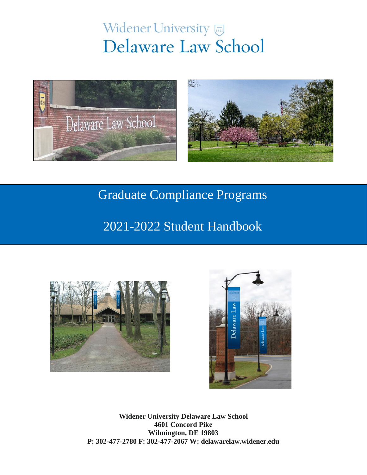# Widener University Delaware Law School



# Graduate Compliance Programs

## 2021-2022 Student Handbook





**Widener University Delaware Law School 4601 Concord Pike Wilmington, DE 19803 P: 302-477-2780 F: 302-477-2067 W: delawarelaw.widener.edu**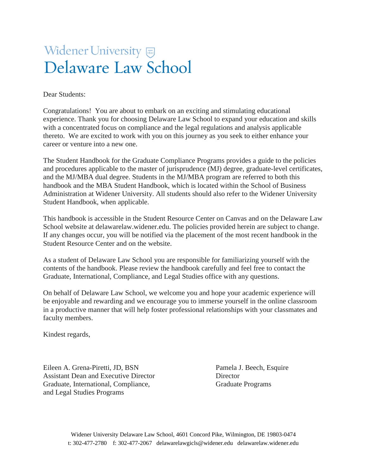# **Widener University** Delaware Law School

Dear Students:

Congratulations! You are about to embark on an exciting and stimulating educational experience. Thank you for choosing Delaware Law School to expand your education and skills with a concentrated focus on compliance and the legal regulations and analysis applicable thereto. We are excited to work with you on this journey as you seek to either enhance your career or venture into a new one.

The Student Handbook for the Graduate Compliance Programs provides a guide to the policies and procedures applicable to the master of jurisprudence (MJ) degree, graduate-level certificates, and the MJ/MBA dual degree. Students in the MJ/MBA program are referred to both this handbook and the MBA Student Handbook, which is located within the School of Business Administration at Widener University. All students should also refer to the Widener University Student Handbook, when applicable.

This handbook is accessible in the Student Resource Center on Canvas and on the Delaware Law School website at delawarelaw.widener.edu. The policies provided herein are subject to change. If any changes occur, you will be notified via the placement of the most recent handbook in the Student Resource Center and on the website.

As a student of Delaware Law School you are responsible for familiarizing yourself with the contents of the handbook. Please review the handbook carefully and feel free to contact the Graduate, International, Compliance, and Legal Studies office with any questions.

On behalf of Delaware Law School, we welcome you and hope your academic experience will be enjoyable and rewarding and we encourage you to immerse yourself in the online classroom in a productive manner that will help foster professional relationships with your classmates and faculty members.

Kindest regards,

Eileen A. Grena-Piretti, JD, BSN Pamela J. Beech, Esquire Assistant Dean and Executive Director Director Graduate, International, Compliance, Graduate Programs and Legal Studies Programs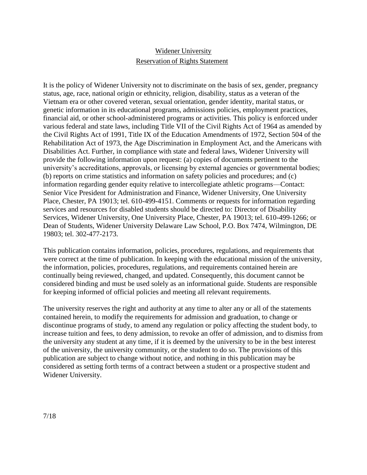### Widener University Reservation of Rights Statement

It is the policy of Widener University not to discriminate on the basis of sex, gender, pregnancy status, age, race, national origin or ethnicity, religion, disability, status as a veteran of the Vietnam era or other covered veteran, sexual orientation, gender identity, marital status, or genetic information in its educational programs, admissions policies, employment practices, financial aid, or other school-administered programs or activities. This policy is enforced under various federal and state laws, including Title VII of the Civil Rights Act of 1964 as amended by the Civil Rights Act of 1991, Title IX of the Education Amendments of 1972, Section 504 of the Rehabilitation Act of 1973, the Age Discrimination in Employment Act, and the Americans with Disabilities Act. Further, in compliance with state and federal laws, Widener University will provide the following information upon request: (a) copies of documents pertinent to the university's accreditations, approvals, or licensing by external agencies or governmental bodies; (b) reports on crime statistics and information on safety policies and procedures; and (c) information regarding gender equity relative to intercollegiate athletic programs—Contact: Senior Vice President for Administration and Finance, Widener University, One University Place, Chester, PA 19013; tel. 610-499-4151. Comments or requests for information regarding services and resources for disabled students should be directed to: Director of Disability Services, Widener University, One University Place, Chester, PA 19013; tel. 610-499-1266; or Dean of Students, Widener University Delaware Law School, P.O. Box 7474, Wilmington, DE 19803; tel. 302-477-2173.

This publication contains information, policies, procedures, regulations, and requirements that were correct at the time of publication. In keeping with the educational mission of the university, the information, policies, procedures, regulations, and requirements contained herein are continually being reviewed, changed, and updated. Consequently, this document cannot be considered binding and must be used solely as an informational guide. Students are responsible for keeping informed of official policies and meeting all relevant requirements.

The university reserves the right and authority at any time to alter any or all of the statements contained herein, to modify the requirements for admission and graduation, to change or discontinue programs of study, to amend any regulation or policy affecting the student body, to increase tuition and fees, to deny admission, to revoke an offer of admission, and to dismiss from the university any student at any time, if it is deemed by the university to be in the best interest of the university, the university community, or the student to do so. The provisions of this publication are subject to change without notice, and nothing in this publication may be considered as setting forth terms of a contract between a student or a prospective student and Widener University.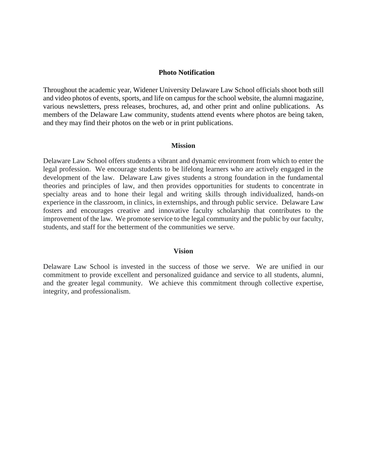#### **Photo Notification**

Throughout the academic year, Widener University Delaware Law School officials shoot both still and video photos of events, sports, and life on campus for the school website, the alumni magazine, various newsletters, press releases, brochures, ad, and other print and online publications. As members of the Delaware Law community, students attend events where photos are being taken, and they may find their photos on the web or in print publications.

#### **Mission**

Delaware Law School offers students a vibrant and dynamic environment from which to enter the legal profession. We encourage students to be lifelong learners who are actively engaged in the development of the law. Delaware Law gives students a strong foundation in the fundamental theories and principles of law, and then provides opportunities for students to concentrate in specialty areas and to hone their legal and writing skills through individualized, hands-on experience in the classroom, in clinics, in externships, and through public service. Delaware Law fosters and encourages creative and innovative faculty scholarship that contributes to the improvement of the law. We promote service to the legal community and the public by our faculty, students, and staff for the betterment of the communities we serve.

#### **Vision**

Delaware Law School is invested in the success of those we serve. We are unified in our commitment to provide excellent and personalized guidance and service to all students, alumni, and the greater legal community. We achieve this commitment through collective expertise, integrity, and professionalism.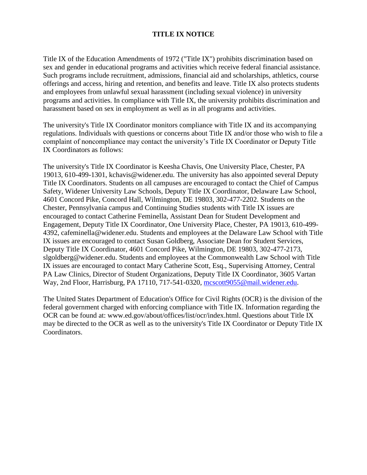#### **TITLE IX NOTICE**

Title IX of the Education Amendments of 1972 ("Title IX") prohibits discrimination based on sex and gender in educational programs and activities which receive federal financial assistance. Such programs include recruitment, admissions, financial aid and scholarships, athletics, course offerings and access, hiring and retention, and benefits and leave. Title IX also protects students and employees from unlawful sexual harassment (including sexual violence) in university programs and activities. In compliance with Title IX, the university prohibits discrimination and harassment based on sex in employment as well as in all programs and activities.

The university's Title IX Coordinator monitors compliance with Title IX and its accompanying regulations. Individuals with questions or concerns about Title IX and/or those who wish to file a complaint of noncompliance may contact the university's Title IX Coordinator or Deputy Title IX Coordinators as follows:

The university's Title IX Coordinator is Keesha Chavis, One University Place, Chester, PA 19013, 610-499-1301, kchavis@widener.edu. The university has also appointed several Deputy Title IX Coordinators. Students on all campuses are encouraged to contact the Chief of Campus Safety, Widener University Law Schools, Deputy Title IX Coordinator, Delaware Law School, 4601 Concord Pike, Concord Hall, Wilmington, DE 19803, 302-477-2202. Students on the Chester, Pennsylvania campus and Continuing Studies students with Title IX issues are encouraged to contact Catherine Feminella, Assistant Dean for Student Development and Engagement, Deputy Title IX Coordinator, One University Place, Chester, PA 19013, 610-499- 4392, cafeminella@widener.edu. Students and employees at the Delaware Law School with Title IX issues are encouraged to contact Susan Goldberg, Associate Dean for Student Services, Deputy Title IX Coordinator, 4601 Concord Pike, Wilmington, DE 19803, 302-477-2173, slgoldberg@widener.edu. Students and employees at the Commonwealth Law School with Title IX issues are encouraged to contact Mary Catherine Scott, Esq., Supervising Attorney, Central PA Law Clinics, Director of Student Organizations, Deputy Title IX Coordinator, 3605 Vartan Way, 2nd Floor, Harrisburg, PA 17110, 717-541-0320, [mcscott9055@mail.widener.edu.](mailto:mcscott9055@mail.widener.edu)

The United States Department of Education's Office for Civil Rights (OCR) is the division of the federal government charged with enforcing compliance with Title IX. Information regarding the OCR can be found at: www.ed.gov/about/offices/list/ocr/index.html. Questions about Title IX may be directed to the OCR as well as to the university's Title IX Coordinator or Deputy Title IX Coordinators.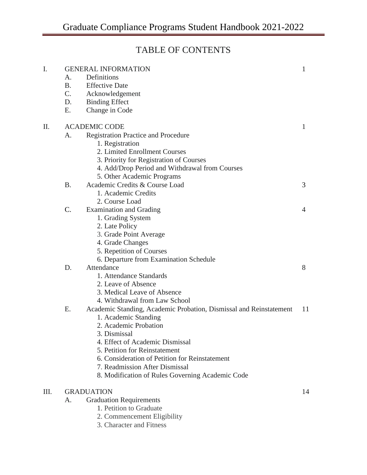## TABLE OF CONTENTS

| I. | A.                   | <b>GENERAL INFORMATION</b><br>Definitions                          | 1              |
|----|----------------------|--------------------------------------------------------------------|----------------|
|    | <b>B.</b>            | <b>Effective Date</b>                                              |                |
|    | $C_{\cdot}$          | Acknowledgement                                                    |                |
|    | D.                   | <b>Binding Effect</b>                                              |                |
|    | E.                   | Change in Code                                                     |                |
|    |                      |                                                                    |                |
| Π. | <b>ACADEMIC CODE</b> |                                                                    |                |
|    | A.                   | <b>Registration Practice and Procedure</b>                         |                |
|    |                      | 1. Registration                                                    |                |
|    |                      | 2. Limited Enrollment Courses                                      |                |
|    |                      | 3. Priority for Registration of Courses                            |                |
|    |                      | 4. Add/Drop Period and Withdrawal from Courses                     |                |
|    |                      | 5. Other Academic Programs                                         |                |
|    | <b>B.</b>            | Academic Credits & Course Load                                     | 3              |
|    |                      | 1. Academic Credits                                                |                |
|    |                      | 2. Course Load                                                     |                |
|    | C.                   | <b>Examination and Grading</b>                                     | $\overline{4}$ |
|    |                      | 1. Grading System                                                  |                |
|    |                      | 2. Late Policy                                                     |                |
|    |                      | 3. Grade Point Average                                             |                |
|    |                      | 4. Grade Changes                                                   |                |
|    |                      | 5. Repetition of Courses                                           |                |
|    |                      | 6. Departure from Examination Schedule                             |                |
|    | D.                   | Attendance                                                         | 8              |
|    |                      | 1. Attendance Standards                                            |                |
|    |                      | 2. Leave of Absence                                                |                |
|    |                      | 3. Medical Leave of Absence                                        |                |
|    |                      | 4. Withdrawal from Law School                                      |                |
|    | E.                   | Academic Standing, Academic Probation, Dismissal and Reinstatement | 11             |
|    |                      | 1. Academic Standing                                               |                |
|    |                      | 2. Academic Probation                                              |                |
|    |                      | 3. Dismissal                                                       |                |
|    |                      | 4. Effect of Academic Dismissal                                    |                |
|    |                      | 5. Petition for Reinstatement                                      |                |
|    |                      | 6. Consideration of Petition for Reinstatement                     |                |
|    |                      | 7. Readmission After Dismissal                                     |                |
|    |                      | 8. Modification of Rules Governing Academic Code                   |                |
| Ш. | <b>GRADUATION</b>    |                                                                    |                |
|    | A.                   | <b>Graduation Requirements</b>                                     |                |
|    |                      | 1. Petition to Graduate                                            |                |
|    |                      |                                                                    |                |

- 2. Commencement Eligibility
- 3. Character and Fitness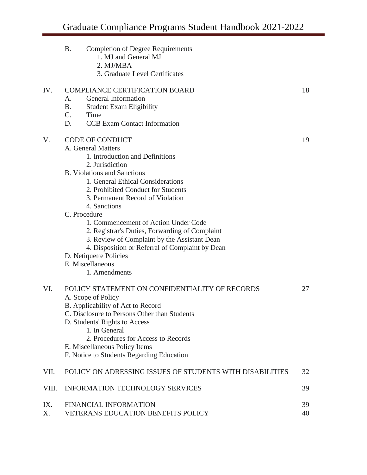|           | <b>B.</b><br><b>Completion of Degree Requirements</b><br>1. MJ and General MJ<br>2. MJ/MBA<br>3. Graduate Level Certificates                                                                                                                       |          |  |  |  |
|-----------|----------------------------------------------------------------------------------------------------------------------------------------------------------------------------------------------------------------------------------------------------|----------|--|--|--|
| IV.       | <b>COMPLIANCE CERTIFICATION BOARD</b><br>General Information<br>A.<br><b>B.</b><br><b>Student Exam Eligibility</b>                                                                                                                                 | 18       |  |  |  |
|           | $C_{\cdot}$<br>Time                                                                                                                                                                                                                                |          |  |  |  |
|           | D.<br><b>CCB</b> Exam Contact Information                                                                                                                                                                                                          |          |  |  |  |
| V.        | <b>CODE OF CONDUCT</b><br>A. General Matters<br>1. Introduction and Definitions<br>2. Jurisdiction<br><b>B.</b> Violations and Sanctions<br>1. General Ethical Considerations                                                                      | 19       |  |  |  |
|           | 2. Prohibited Conduct for Students<br>3. Permanent Record of Violation<br>4. Sanctions                                                                                                                                                             |          |  |  |  |
|           | C. Procedure                                                                                                                                                                                                                                       |          |  |  |  |
|           | 1. Commencement of Action Under Code<br>2. Registrar's Duties, Forwarding of Complaint<br>3. Review of Complaint by the Assistant Dean<br>4. Disposition or Referral of Complaint by Dean                                                          |          |  |  |  |
|           | D. Netiquette Policies                                                                                                                                                                                                                             |          |  |  |  |
|           | E. Miscellaneous<br>1. Amendments                                                                                                                                                                                                                  |          |  |  |  |
| VI.       | POLICY STATEMENT ON CONFIDENTIALITY OF RECORDS<br>A. Scope of Policy<br>B. Applicability of Act to Record<br>C. Disclosure to Persons Other than Students<br>D. Students' Rights to Access<br>1. In General<br>2. Procedures for Access to Records | 27       |  |  |  |
|           | E. Miscellaneous Policy Items<br>F. Notice to Students Regarding Education                                                                                                                                                                         |          |  |  |  |
| VII.      | POLICY ON ADRESSING ISSUES OF STUDENTS WITH DISABILITIES                                                                                                                                                                                           | 32       |  |  |  |
| VIII.     | <b>INFORMATION TECHNOLOGY SERVICES</b>                                                                                                                                                                                                             | 39       |  |  |  |
| IX.<br>X. | <b>FINANCIAL INFORMATION</b><br>VETERANS EDUCATION BENEFITS POLICY                                                                                                                                                                                 | 39<br>40 |  |  |  |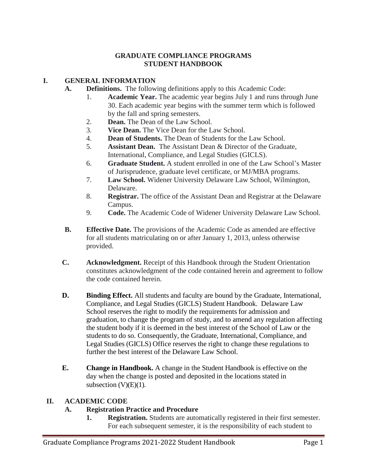#### **GRADUATE COMPLIANCE PROGRAMS STUDENT HANDBOOK**

#### **I. GENERAL INFORMATION**

- **A. Definitions.** The following definitions apply to this Academic Code:
	- 1. **Academic Year.** The academic year begins July 1 and runs through June 30. Each academic year begins with the summer term which is followed by the fall and spring semesters.
	- 2. **Dean.** The Dean of the Law School.
	- 3. **Vice Dean.** The Vice Dean for the Law School.
	- 4. **Dean of Students.** The Dean of Students for the Law School.
	- 5. **Assistant Dean.** The Assistant Dean & Director of the Graduate, International, Compliance, and Legal Studies (GICLS).
	- 6. **Graduate Student.** A student enrolled in one of the Law School's Master of Jurisprudence, graduate level certificate, or MJ/MBA programs.
	- 7. **Law School.** Widener University Delaware Law School, Wilmington, Delaware.
	- 8. **Registrar.** The office of the Assistant Dean and Registrar at the Delaware Campus.
	- 9. **Code.** The Academic Code of Widener University Delaware Law School.
- **B. Effective Date.** The provisions of the Academic Code as amended are effective for all students matriculating on or after January 1, 2013, unless otherwise provided.
- **C. Acknowledgment.** Receipt of this Handbook through the Student Orientation constitutes acknowledgment of the code contained herein and agreement to follow the code contained herein.
- **D. Binding Effect.** All students and faculty are bound by the Graduate, International, Compliance, and Legal Studies (GICLS) Student Handbook. Delaware Law School reserves the right to modify the requirements for admission and graduation, to change the program of study, and to amend any regulation affecting the student body if it is deemed in the best interest of the School of Law or the students to do so. Consequently, the Graduate, International, Compliance, and Legal Studies (GICLS) Office reserves the right to change these regulations to further the best interest of the Delaware Law School.
- **E. Change in Handbook.** A change in the Student Handbook is effective on the day when the change is posted and deposited in the locations stated in subsection  $(V)(E)(1)$ .

#### **II. ACADEMIC CODE**

#### **A. Registration Practice and Procedure**

**1. Registration.** Students are automatically registered in their first semester. For each subsequent semester, it is the responsibility of each student to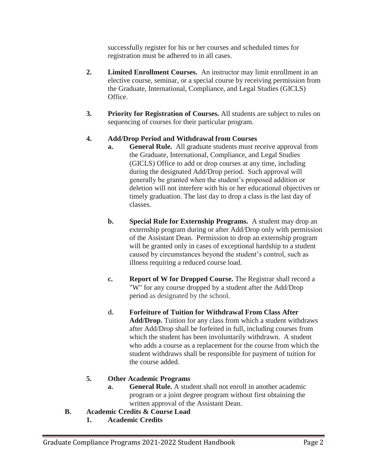successfully register for his or her courses and scheduled times for registration must be adhered to in all cases.

- **2. Limited Enrollment Courses.** An instructor may limit enrollment in an elective course, seminar, or a special course by receiving permission from the Graduate, International, Compliance, and Legal Studies (GICLS) Office.
- **3. Priority for Registration of Courses.** All students are subject to rules on sequencing of courses for their particular program.

#### **4. Add/Drop Period and Withdrawal from Courses**

- **a. General Rule.** All graduate students must receive approval from the Graduate, International, Compliance, and Legal Studies (GICLS) Office to add or drop courses at any time, including during the designated Add/Drop period. Such approval will generally be granted when the student's proposed addition or deletion will not interfere with his or her educational objectives or timely graduation. The last day to drop a class is the last day of classes.
- **b. Special Rule for Externship Programs.** A student may drop an externship program during or after Add/Drop only with permission of the Assistant Dean. Permission to drop an externship program will be granted only in cases of exceptional hardship to a student caused by circumstances beyond the student's control, such as illness requiring a reduced course load.
- **c. Report of W for Dropped Course.** The Registrar shall record a "W" for any course dropped by a student after the Add/Drop period as designated by the school.
- **d. Forfeiture of Tuition for Withdrawal From Class After Add/Drop.** Tuition for any class from which a student withdraws after Add/Drop shall be forfeited in full, including courses from which the student has been involuntarily withdrawn. A student who adds a course as a replacement for the course from which the student withdraws shall be responsible for payment of tuition for the course added.

#### **5. Other Academic Programs**

- **a. General Rule.** A student shall not enroll in another academic program or a joint degree program without first obtaining the written approval of the Assistant Dean.
- **B. Academic Credits & Course Load**
	- **1. Academic Credits**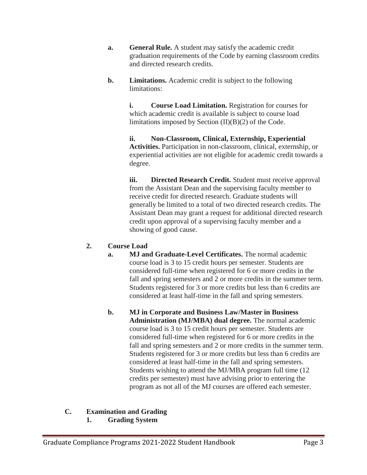- **a. General Rule.** A student may satisfy the academic credit graduation requirements of the Code by earning classroom credits and directed research credits.
- **b. Limitations.** Academic credit is subject to the following limitations:

**i. Course Load Limitation.** Registration for courses for which academic credit is available is subject to course load limitations imposed by Section (II)(B)(2) of the Code.

**ii. Non-Classroom, Clinical, Externship, Experiential Activities.** Participation in non-classroom, clinical, externship, or experiential activities are not eligible for academic credit towards a degree.

**iii. Directed Research Credit.** Student must receive approval from the Assistant Dean and the supervising faculty member to receive credit for directed research. Graduate students will generally be limited to a total of two directed research credits. The Assistant Dean may grant a request for additional directed research credit upon approval of a supervising faculty member and a showing of good cause.

#### **2. Course Load**

- **a. MJ and Graduate-Level Certificates.** The normal academic course load is 3 to 15 credit hours per semester. Students are considered full-time when registered for 6 or more credits in the fall and spring semesters and 2 or more credits in the summer term. Students registered for 3 or more credits but less than 6 credits are considered at least half-time in the fall and spring semesters.
- **b. MJ in Corporate and Business Law/Master in Business Administration (MJ/MBA) dual degree.** The normal academic course load is 3 to 15 credit hours per semester. Students are considered full-time when registered for 6 or more credits in the fall and spring semesters and 2 or more credits in the summer term. Students registered for 3 or more credits but less than 6 credits are considered at least half-time in the fall and spring semesters. Students wishing to attend the MJ/MBA program full time (12 credits per semester) must have advising prior to entering the program as not all of the MJ courses are offered each semester.

#### **C. Examination and Grading**

**1. Grading System**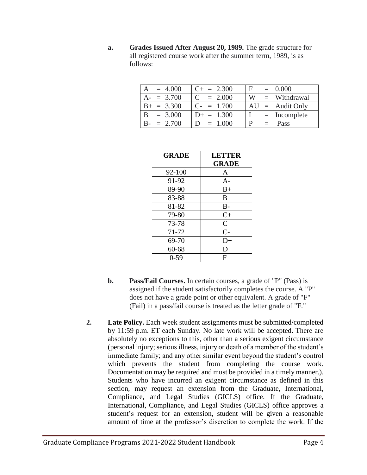**a. Grades Issued After August 20, 1989.** The grade structure for all registered course work after the summer term, 1989, is as follows:

| $= 4.000$     | $C_{+} = 2.300$           | ' F  <br>$= 0.000$  |
|---------------|---------------------------|---------------------|
| $A = 3.700$   | $= 2.000$                 | W<br>$=$ Withdrawal |
| $B_+ = 3.300$ | $C_{-} = 1.700$           | $AU =$ Audit Only   |
| $B = 3.000$   | $D_{+} = 1.300$           | $=$ Incomplete      |
| $= 2.700$     | $= 1.000$<br>$\mathbf{D}$ | p<br>Pass           |

| <b>GRADE</b> | <b>LETTER</b>  |
|--------------|----------------|
|              | <b>GRADE</b>   |
| 92-100       | A              |
| 91-92        | $A-$           |
| 89-90        | $B+$           |
| 83-88        | B              |
| 81-82        | $B -$          |
| 79-80        | $C+$           |
| 73-78        | $\overline{C}$ |
| 71-72        | $C-$           |
| 69-70        | D+             |
| 60-68        | D              |
| $0-59$       | F              |

- **b. Pass/Fail Courses.** In certain courses, a grade of "P" (Pass) is assigned if the student satisfactorily completes the course. A "P" does not have a grade point or other equivalent. A grade of "F" (Fail) in a pass/fail course is treated as the letter grade of "F."
- **2.** Late Policy. Each week student assignments must be submitted/completed by 11:59 p.m. ET each Sunday. No late work will be accepted. There are absolutely no exceptions to this, other than a serious exigent circumstance (personal injury; serious illness, injury or death of a member of the student's immediate family; and any other similar event beyond the student's control which prevents the student from completing the course work. Documentation may be required and must be provided in a timely manner.). Students who have incurred an exigent circumstance as defined in this section, may request an extension from the Graduate, International, Compliance, and Legal Studies (GICLS) office. If the Graduate, International, Compliance, and Legal Studies (GICLS) office approves a student's request for an extension, student will be given a reasonable amount of time at the professor's discretion to complete the work. If the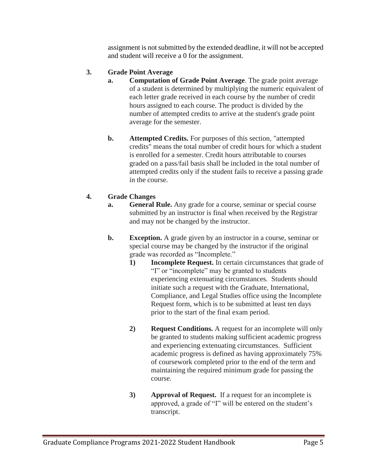assignment is not submitted by the extended deadline, it will not be accepted and student will receive a 0 for the assignment.

#### **3. Grade Point Average**

- **a. Computation of Grade Point Average**. The grade point average of a student is determined by multiplying the numeric equivalent of each letter grade received in each course by the number of credit hours assigned to each course. The product is divided by the number of attempted credits to arrive at the student's grade point average for the semester.
- **b. Attempted Credits.** For purposes of this section, "attempted credits" means the total number of credit hours for which a student is enrolled for a semester. Credit hours attributable to courses graded on a pass/fail basis shall be included in the total number of attempted credits only if the student fails to receive a passing grade in the course.

#### **4. Grade Changes**

- **a. General Rule.** Any grade for a course, seminar or special course submitted by an instructor is final when received by the Registrar and may not be changed by the instructor.
- **b.** Exception. A grade given by an instructor in a course, seminar or special course may be changed by the instructor if the original grade was recorded as "Incomplete."
	- **1) Incomplete Request.** In certain circumstances that grade of "I" or "incomplete" may be granted to students experiencing extenuating circumstances. Students should initiate such a request with the Graduate, International, Compliance, and Legal Studies office using the Incomplete Request form, which is to be submitted at least ten days prior to the start of the final exam period.
	- **2) Request Conditions.** A request for an incomplete will only be granted to students making sufficient academic progress and experiencing extenuating circumstances. Sufficient academic progress is defined as having approximately 75% of coursework completed prior to the end of the term and maintaining the required minimum grade for passing the course.
	- **3) Approval of Request.** If a request for an incomplete is approved, a grade of "I" will be entered on the student's transcript.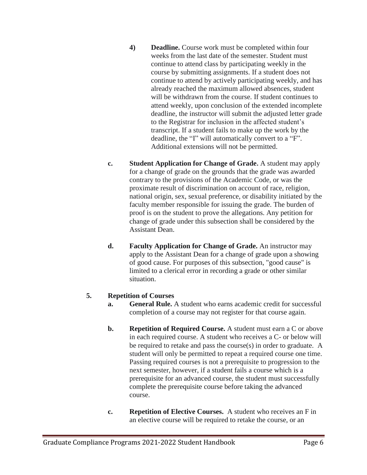- **4) Deadline.** Course work must be completed within four weeks from the last date of the semester. Student must continue to attend class by participating weekly in the course by submitting assignments. If a student does not continue to attend by actively participating weekly, and has already reached the maximum allowed absences, student will be withdrawn from the course. If student continues to attend weekly, upon conclusion of the extended incomplete deadline, the instructor will submit the adjusted letter grade to the Registrar for inclusion in the affected student's transcript. If a student fails to make up the work by the deadline, the "I" will automatically convert to a "F". Additional extensions will not be permitted.
- **c. Student Application for Change of Grade.** A student may apply for a change of grade on the grounds that the grade was awarded contrary to the provisions of the Academic Code, or was the proximate result of discrimination on account of race, religion, national origin, sex, sexual preference, or disability initiated by the faculty member responsible for issuing the grade. The burden of proof is on the student to prove the allegations. Any petition for change of grade under this subsection shall be considered by the Assistant Dean.
- **d. Faculty Application for Change of Grade.** An instructor may apply to the Assistant Dean for a change of grade upon a showing of good cause. For purposes of this subsection, "good cause" is limited to a clerical error in recording a grade or other similar situation.

#### **5. Repetition of Courses**

- **a. General Rule.** A student who earns academic credit for successful completion of a course may not register for that course again.
- **b.** Repetition of Required Course. A student must earn a C or above in each required course. A student who receives a C- or below will be required to retake and pass the course(s) in order to graduate. A student will only be permitted to repeat a required course one time. Passing required courses is not a prerequisite to progression to the next semester, however, if a student fails a course which is a prerequisite for an advanced course, the student must successfully complete the prerequisite course before taking the advanced course.
- **c. Repetition of Elective Courses.** A student who receives an F in an elective course will be required to retake the course, or an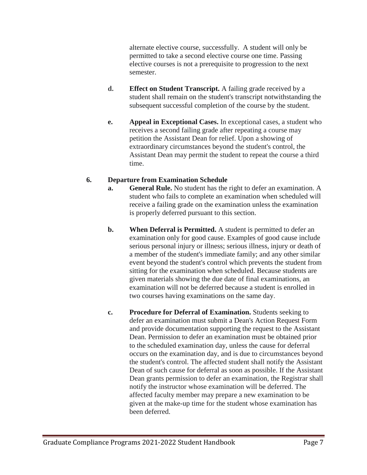alternate elective course, successfully. A student will only be permitted to take a second elective course one time. Passing elective courses is not a prerequisite to progression to the next semester.

- **d. Effect on Student Transcript.** A failing grade received by a student shall remain on the student's transcript notwithstanding the subsequent successful completion of the course by the student.
- **e. Appeal in Exceptional Cases.** In exceptional cases, a student who receives a second failing grade after repeating a course may petition the Assistant Dean for relief. Upon a showing of extraordinary circumstances beyond the student's control, the Assistant Dean may permit the student to repeat the course a third time.

#### **6. Departure from Examination Schedule**

- **a. General Rule.** No student has the right to defer an examination. A student who fails to complete an examination when scheduled will receive a failing grade on the examination unless the examination is properly deferred pursuant to this section.
- **b. When Deferral is Permitted.** A student is permitted to defer an examination only for good cause. Examples of good cause include serious personal injury or illness; serious illness, injury or death of a member of the student's immediate family; and any other similar event beyond the student's control which prevents the student from sitting for the examination when scheduled. Because students are given materials showing the due date of final examinations, an examination will not be deferred because a student is enrolled in two courses having examinations on the same day.
- **c. Procedure for Deferral of Examination.** Students seeking to defer an examination must submit a Dean's Action Request Form and provide documentation supporting the request to the Assistant Dean. Permission to defer an examination must be obtained prior to the scheduled examination day, unless the cause for deferral occurs on the examination day, and is due to circumstances beyond the student's control. The affected student shall notify the Assistant Dean of such cause for deferral as soon as possible. If the Assistant Dean grants permission to defer an examination, the Registrar shall notify the instructor whose examination will be deferred. The affected faculty member may prepare a new examination to be given at the make-up time for the student whose examination has been deferred.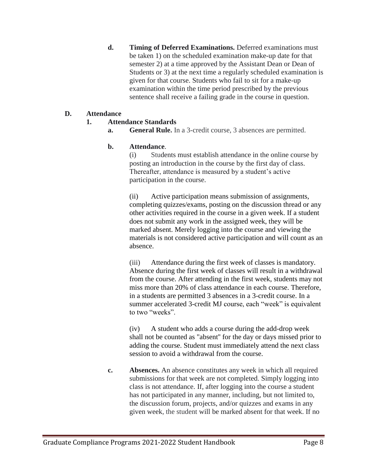**d. Timing of Deferred Examinations.** Deferred examinations must be taken 1) on the scheduled examination make-up date for that semester 2) at a time approved by the Assistant Dean or Dean of Students or 3) at the next time a regularly scheduled examination is given for that course. Students who fail to sit for a make-up examination within the time period prescribed by the previous sentence shall receive a failing grade in the course in question.

#### **D. Attendance**

#### **1. Attendance Standards**

**a. General Rule.** In a 3-credit course, 3 absences are permitted.

#### **b. Attendance**.

(i) Students must establish attendance in the online course by posting an introduction in the course by the first day of class. Thereafter, attendance is measured by a student's active participation in the course.

(ii) Active participation means submission of assignments, completing quizzes/exams, posting on the discussion thread or any other activities required in the course in a given week. If a student does not submit any work in the assigned week, they will be marked absent. Merely logging into the course and viewing the materials is not considered active participation and will count as an absence.

(iii) Attendance during the first week of classes is mandatory. Absence during the first week of classes will result in a withdrawal from the course. After attending in the first week, students may not miss more than 20% of class attendance in each course. Therefore, in a students are permitted 3 absences in a 3-credit course. In a summer accelerated 3-credit MJ course, each "week" is equivalent to two "weeks".

(iv) A student who adds a course during the add-drop week shall not be counted as "absent'' for the day or days missed prior to adding the course. Student must immediately attend the next class session to avoid a withdrawal from the course.

**c. Absences.** An absence constitutes any week in which all required submissions for that week are not completed. Simply logging into class is not attendance. If, after logging into the course a student has not participated in any manner, including, but not limited to, the discussion forum, projects, and/or quizzes and exams in any given week, the student will be marked absent for that week. If no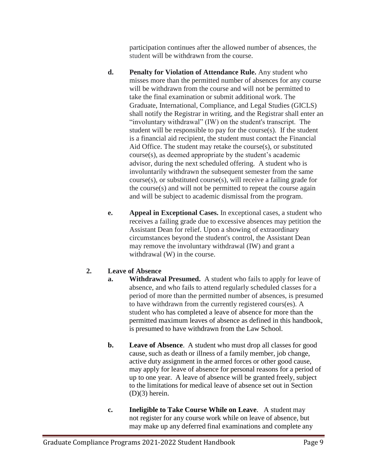participation continues after the allowed number of absences, the student will be withdrawn from the course.

- **d. Penalty for Violation of Attendance Rule.** Any student who misses more than the permitted number of absences for any course will be withdrawn from the course and will not be permitted to take the final examination or submit additional work. The Graduate, International, Compliance, and Legal Studies (GICLS) shall notify the Registrar in writing, and the Registrar shall enter an "involuntary withdrawal" (IW) on the student's transcript. The student will be responsible to pay for the course(s). If the student is a financial aid recipient, the student must contact the Financial Aid Office. The student may retake the course(s), or substituted course(s), as deemed appropriate by the student's academic advisor, during the next scheduled offering. A student who is involuntarily withdrawn the subsequent semester from the same course(s), or substituted course(s), will receive a failing grade for the course(s) and will not be permitted to repeat the course again and will be subject to academic dismissal from the program.
- **e. Appeal in Exceptional Cases.** In exceptional cases, a student who receives a failing grade due to excessive absences may petition the Assistant Dean for relief. Upon a showing of extraordinary circumstances beyond the student's control, the Assistant Dean may remove the involuntary withdrawal (IW) and grant a withdrawal (W) in the course.

#### **2. Leave of Absence**

- **a.** Withdrawal Presumed. A student who fails to apply for leave of absence, and who fails to attend regularly scheduled classes for a period of more than the permitted number of absences, is presumed to have withdrawn from the currently registered cours(es). A student who has completed a leave of absence for more than the permitted maximum leaves of absence as defined in this handbook, is presumed to have withdrawn from the Law School.
- **b. Leave of Absence**. A student who must drop all classes for good cause, such as death or illness of a family member, job change, active duty assignment in the armed forces or other good cause, may apply for leave of absence for personal reasons for a period of up to one year. A leave of absence will be granted freely, subject to the limitations for medical leave of absence set out in Section  $(D)(3)$  herein.
- **c. Ineligible to Take Course While on Leave**. A student may not register for any course work while on leave of absence, but may make up any deferred final examinations and complete any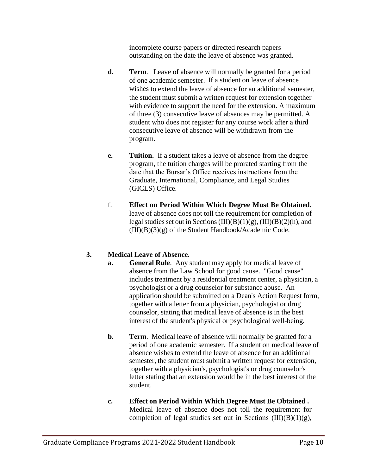incomplete course papers or directed research papers outstanding on the date the leave of absence was granted.

- **d. Term**. Leave of absence will normally be granted for a period of one academic semester. If a student on leave of absence wishes to extend the leave of absence for an additional semester, the student must submit a written request for extension together with evidence to support the need for the extension. A maximum of three (3) consecutive leave of absences may be permitted. A student who does not register for any course work after a third consecutive leave of absence will be withdrawn from the program.
- **e. Tuition.** If a student takes a leave of absence from the degree program, the tuition charges will be prorated starting from the date that the Bursar's Office receives instructions from the Graduate, International, Compliance, and Legal Studies (GICLS) Office.
- f. **Effect on Period Within Which Degree Must Be Obtained.** leave of absence does not toll the requirement for completion of legal studies set out in Sections  $(III)(B)(1)(g)$ ,  $(III)(B)(2)(h)$ , and  $(III)(B)(3)(g)$  of the Student Handbook/Academic Code.

#### **3. Medical Leave of Absence.**

- **a. General Rule**. Any student may apply for medical leave of absence from the Law School for good cause. "Good cause" includes treatment by a residential treatment center, a physician, a psychologist or a drug counselor for substance abuse. An application should be submitted on a Dean's Action Request form, together with a letter from a physician, psychologist or drug counselor, stating that medical leave of absence is in the best interest of the student's physical or psychological well-being.
- **b. Term**. Medical leave of absence will normally be granted for a period of one academic semester. If a student on medical leave of absence wishes to extend the leave of absence for an additional semester, the student must submit a written request for extension, together with a physician's, psychologist's or drug counselor's letter stating that an extension would be in the best interest of the student.
- **c. Effect on Period Within Which Degree Must Be Obtained .**  Medical leave of absence does not toll the requirement for completion of legal studies set out in Sections  $(III)(B)(1)(g)$ ,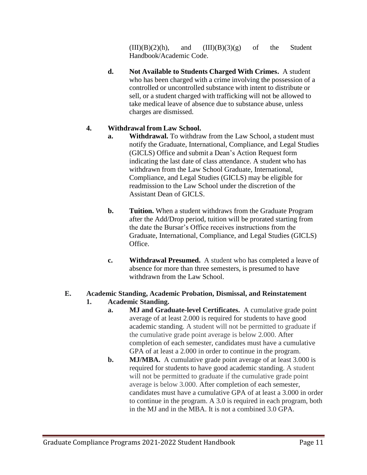$(III)(B)(2)(h)$ , and  $(III)(B)(3)(g)$  of the Student Handbook/Academic Code.

**d. Not Available to Students Charged With Crimes.** A student who has been charged with a crime involving the possession of a controlled or uncontrolled substance with intent to distribute or sell, or a student charged with trafficking will not be allowed to take medical leave of absence due to substance abuse, unless charges are dismissed.

### **4. Withdrawal from Law School.**

- **a. Withdrawal.** To withdraw from the Law School, a student must notify the Graduate, International, Compliance, and Legal Studies (GICLS) Office and submit a Dean's Action Request form indicating the last date of class attendance. A student who has withdrawn from the Law School Graduate, International, Compliance, and Legal Studies (GICLS) may be eligible for readmission to the Law School under the discretion of the Assistant Dean of GICLS.
- **b. Tuition.** When a student withdraws from the Graduate Program after the Add/Drop period, tuition will be prorated starting from the date the Bursar's Office receives instructions from the Graduate, International, Compliance, and Legal Studies (GICLS) Office.
- **c. Withdrawal Presumed.** A student who has completed a leave of absence for more than three semesters, is presumed to have withdrawn from the Law School.

### **E. Academic Standing, Academic Probation, Dismissal, and Reinstatement**

#### **1. Academic Standing.**

- **a. MJ and Graduate-level Certificates.** A cumulative grade point average of at least 2.000 is required for students to have good academic standing. A student will not be permitted to graduate if the cumulative grade point average is below 2.000. After completion of each semester, candidates must have a cumulative GPA of at least a 2.000 in order to continue in the program.
- **b. MJ/MBA.** A cumulative grade point average of at least 3.000 is required for students to have good academic standing. A student will not be permitted to graduate if the cumulative grade point average is below 3.000. After completion of each semester, candidates must have a cumulative GPA of at least a 3.000 in order to continue in the program. A 3.0 is required in each program, both in the MJ and in the MBA. It is not a combined 3.0 GPA.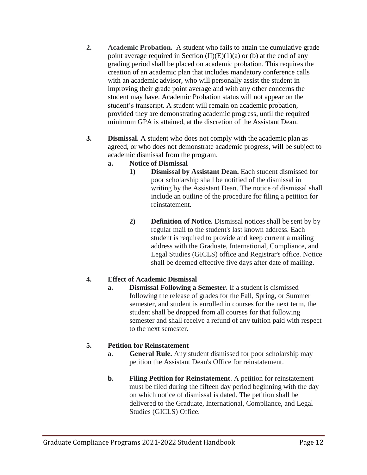- **2. Academic Probation.** A student who fails to attain the cumulative grade point average required in Section  $(II)(E)(1)(a)$  or (b) at the end of any grading period shall be placed on academic probation. This requires the creation of an academic plan that includes mandatory conference calls with an academic advisor, who will personally assist the student in improving their grade point average and with any other concerns the student may have. Academic Probation status will not appear on the student's transcript. A student will remain on academic probation, provided they are demonstrating academic progress, until the required minimum GPA is attained, at the discretion of the Assistant Dean.
- **3. Dismissal.** A student who does not comply with the academic plan as agreed, or who does not demonstrate academic progress, will be subject to academic dismissal from the program.
	- **a. Notice of Dismissal**
		- **1) Dismissal by Assistant Dean.** Each student dismissed for poor scholarship shall be notified of the dismissal in writing by the Assistant Dean. The notice of dismissal shall include an outline of the procedure for filing a petition for reinstatement.
		- **2) Definition of Notice.** Dismissal notices shall be sent by by regular mail to the student's last known address. Each student is required to provide and keep current a mailing address with the Graduate, International, Compliance, and Legal Studies (GICLS) office and Registrar's office. Notice shall be deemed effective five days after date of mailing.

#### **4. Effect of Academic Dismissal**

**a. Dismissal Following a Semester.** If a student is dismissed following the release of grades for the Fall, Spring, or Summer semester, and student is enrolled in courses for the next term, the student shall be dropped from all courses for that following semester and shall receive a refund of any tuition paid with respect to the next semester.

### **5. Petition for Reinstatement**

- **a. General Rule.** Any student dismissed for poor scholarship may petition the Assistant Dean's Office for reinstatement.
- **b. Filing Petition for Reinstatement**. A petition for reinstatement must be filed during the fifteen day period beginning with the day on which notice of dismissal is dated. The petition shall be delivered to the Graduate, International, Compliance, and Legal Studies (GICLS) Office.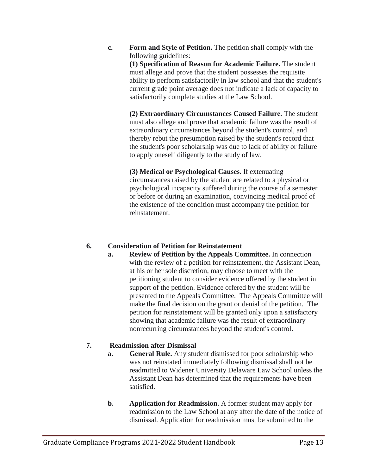**c. Form and Style of Petition.** The petition shall comply with the following guidelines: **(1) Specification of Reason for Academic Failure.** The student must allege and prove that the student possesses the requisite

ability to perform satisfactorily in law school and that the student's current grade point average does not indicate a lack of capacity to satisfactorily complete studies at the Law School.

**(2) Extraordinary Circumstances Caused Failure.** The student must also allege and prove that academic failure was the result of extraordinary circumstances beyond the student's control, and thereby rebut the presumption raised by the student's record that the student's poor scholarship was due to lack of ability or failure to apply oneself diligently to the study of law.

**(3) Medical or Psychological Causes.** If extenuating circumstances raised by the student are related to a physical or psychological incapacity suffered during the course of a semester or before or during an examination, convincing medical proof of the existence of the condition must accompany the petition for reinstatement.

#### **6. Consideration of Petition for Reinstatement**

**a. Review of Petition by the Appeals Committee.** In connection with the review of a petition for reinstatement, the Assistant Dean, at his or her sole discretion, may choose to meet with the petitioning student to consider evidence offered by the student in support of the petition. Evidence offered by the student will be presented to the Appeals Committee. The Appeals Committee will make the final decision on the grant or denial of the petition. The petition for reinstatement will be granted only upon a satisfactory showing that academic failure was the result of extraordinary nonrecurring circumstances beyond the student's control.

#### **7. Readmission after Dismissal**

- **a. General Rule.** Any student dismissed for poor scholarship who was not reinstated immediately following dismissal shall not be readmitted to Widener University Delaware Law School unless the Assistant Dean has determined that the requirements have been satisfied.
- **b. Application for Readmission.** A former student may apply for readmission to the Law School at any after the date of the notice of dismissal. Application for readmission must be submitted to the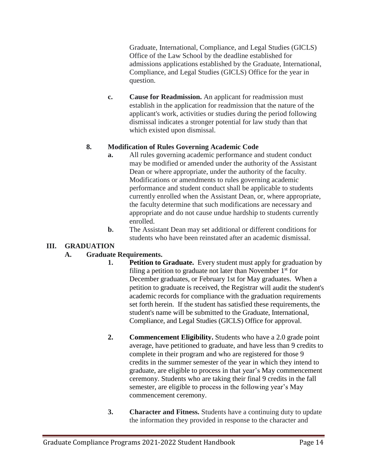Graduate, International, Compliance, and Legal Studies (GICLS) Office of the Law School by the deadline established for admissions applications established by the Graduate, International, Compliance, and Legal Studies (GICLS) Office for the year in question.

**c. Cause for Readmission.** An applicant for readmission must establish in the application for readmission that the nature of the applicant's work, activities or studies during the period following dismissal indicates a stronger potential for law study than that which existed upon dismissal.

#### **8. Modification of Rules Governing Academic Code**

- **a.** All rules governing academic performance and student conduct may be modified or amended under the authority of the Assistant Dean or where appropriate, under the authority of the faculty. Modifications or amendments to rules governing academic performance and student conduct shall be applicable to students currently enrolled when the Assistant Dean, or, where appropriate, the faculty determine that such modifications are necessary and appropriate and do not cause undue hardship to students currently enrolled.
- **b.** The Assistant Dean may set additional or different conditions for students who have been reinstated after an academic dismissal.

#### **III. GRADUATION**

#### **A. Graduate Requirements.**

- **1. Petition to Graduate.** Every student must apply for graduation by filing a petition to graduate not later than November  $1<sup>st</sup>$  for December graduates, or February 1st for May graduates. When a petition to graduate is received, the Registrar will audit the student's academic records for compliance with the graduation requirements set forth herein. If the student has satisfied these requirements, the student's name will be submitted to the Graduate, International, Compliance, and Legal Studies (GICLS) Office for approval.
- **2. Commencement Eligibility.** Students who have a 2.0 grade point average, have petitioned to graduate, and have less than 9 credits to complete in their program and who are registered for those 9 credits in the summer semester of the year in which they intend to graduate, are eligible to process in that year's May commencement ceremony. Students who are taking their final 9 credits in the fall semester, are eligible to process in the following year's May commencement ceremony.
- **3. Character and Fitness.** Students have a continuing duty to update the information they provided in response to the character and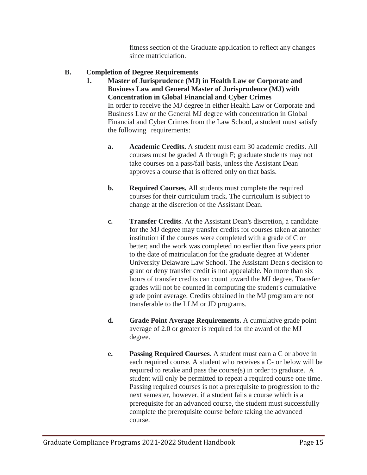fitness section of the Graduate application to reflect any changes since matriculation.

#### **B. Completion of Degree Requirements**

- **1. Master of Jurisprudence (MJ) in Health Law or Corporate and Business Law and General Master of Jurisprudence (MJ) with Concentration in Global Financial and Cyber Crimes** In order to receive the MJ degree in either Health Law or Corporate and Business Law or the General MJ degree with concentration in Global Financial and Cyber Crimes from the Law School, a student must satisfy the following requirements:
	- **a. Academic Credits.** A student must earn 30 academic credits. All courses must be graded A through F; graduate students may not take courses on a pass/fail basis, unless the Assistant Dean approves a course that is offered only on that basis.
	- **b.** Required Courses. All students must complete the required courses for their curriculum track. The curriculum is subject to change at the discretion of the Assistant Dean.
	- **c. Transfer Credits**. At the Assistant Dean's discretion, a candidate for the MJ degree may transfer credits for courses taken at another institution if the courses were completed with a grade of C or better; and the work was completed no earlier than five years prior to the date of matriculation for the graduate degree at Widener University Delaware Law School. The Assistant Dean's decision to grant or deny transfer credit is not appealable. No more than six hours of transfer credits can count toward the MJ degree. Transfer grades will not be counted in computing the student's cumulative grade point average. Credits obtained in the MJ program are not transferable to the LLM or JD programs.
	- **d. Grade Point Average Requirements.** A cumulative grade point average of 2.0 or greater is required for the award of the MJ degree.
	- **e. Passing Required Courses**. A student must earn a C or above in each required course. A student who receives a C- or below will be required to retake and pass the course(s) in order to graduate. A student will only be permitted to repeat a required course one time. Passing required courses is not a prerequisite to progression to the next semester, however, if a student fails a course which is a prerequisite for an advanced course, the student must successfully complete the prerequisite course before taking the advanced course.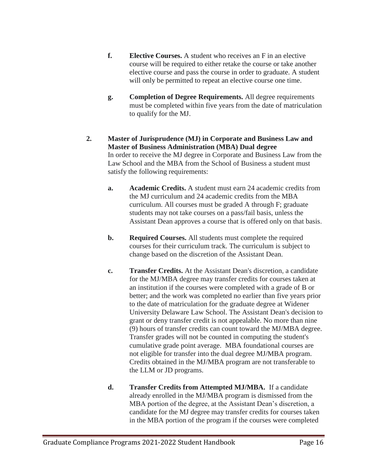- **f. Elective Courses.** A student who receives an F in an elective course will be required to either retake the course or take another elective course and pass the course in order to graduate. A student will only be permitted to repeat an elective course one time.
- **g. Completion of Degree Requirements.** All degree requirements must be completed within five years from the date of matriculation to qualify for the MJ.
- **2. Master of Jurisprudence (MJ) in Corporate and Business Law and Master of Business Administration (MBA) Dual degree** In order to receive the MJ degree in Corporate and Business Law from the Law School and the MBA from the School of Business a student must satisfy the following requirements:
	- **a. Academic Credits.** A student must earn 24 academic credits from the MJ curriculum and 24 academic credits from the MBA curriculum. All courses must be graded A through F; graduate students may not take courses on a pass/fail basis, unless the Assistant Dean approves a course that is offered only on that basis.
	- **b. Required Courses.** All students must complete the required courses for their curriculum track. The curriculum is subject to change based on the discretion of the Assistant Dean.
	- **c. Transfer Credits.** At the Assistant Dean's discretion, a candidate for the MJ/MBA degree may transfer credits for courses taken at an institution if the courses were completed with a grade of B or better; and the work was completed no earlier than five years prior to the date of matriculation for the graduate degree at Widener University Delaware Law School. The Assistant Dean's decision to grant or deny transfer credit is not appealable. No more than nine (9) hours of transfer credits can count toward the MJ/MBA degree. Transfer grades will not be counted in computing the student's cumulative grade point average. MBA foundational courses are not eligible for transfer into the dual degree MJ/MBA program. Credits obtained in the MJ/MBA program are not transferable to the LLM or JD programs.
	- **d. Transfer Credits from Attempted MJ/MBA.** If a candidate already enrolled in the MJ/MBA program is dismissed from the MBA portion of the degree, at the Assistant Dean's discretion, a candidate for the MJ degree may transfer credits for courses taken in the MBA portion of the program if the courses were completed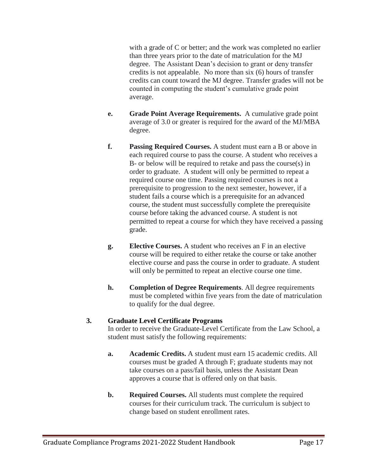with a grade of C or better; and the work was completed no earlier than three years prior to the date of matriculation for the MJ degree. The Assistant Dean's decision to grant or deny transfer credits is not appealable. No more than six (6) hours of transfer credits can count toward the MJ degree. Transfer grades will not be counted in computing the student's cumulative grade point average.

- **e. Grade Point Average Requirements.** A cumulative grade point average of 3.0 or greater is required for the award of the MJ/MBA degree.
- **f. Passing Required Courses.** A student must earn a B or above in each required course to pass the course. A student who receives a B- or below will be required to retake and pass the course(s) in order to graduate. A student will only be permitted to repeat a required course one time. Passing required courses is not a prerequisite to progression to the next semester, however, if a student fails a course which is a prerequisite for an advanced course, the student must successfully complete the prerequisite course before taking the advanced course. A student is not permitted to repeat a course for which they have received a passing grade.
- **g. Elective Courses.** A student who receives an F in an elective course will be required to either retake the course or take another elective course and pass the course in order to graduate. A student will only be permitted to repeat an elective course one time.
- **h. Completion of Degree Requirements**. All degree requirements must be completed within five years from the date of matriculation to qualify for the dual degree.

#### **3. Graduate Level Certificate Programs**

In order to receive the Graduate-Level Certificate from the Law School, a student must satisfy the following requirements:

- **a. Academic Credits.** A student must earn 15 academic credits. All courses must be graded A through F; graduate students may not take courses on a pass/fail basis, unless the Assistant Dean approves a course that is offered only on that basis.
- **b.** Required Courses. All students must complete the required courses for their curriculum track. The curriculum is subject to change based on student enrollment rates.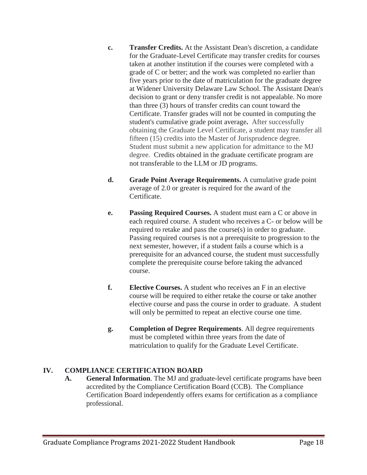- **c. Transfer Credits.** At the Assistant Dean's discretion, a candidate for the Graduate-Level Certificate may transfer credits for courses taken at another institution if the courses were completed with a grade of C or better; and the work was completed no earlier than five years prior to the date of matriculation for the graduate degree at Widener University Delaware Law School. The Assistant Dean's decision to grant or deny transfer credit is not appealable. No more than three (3) hours of transfer credits can count toward the Certificate. Transfer grades will not be counted in computing the student's cumulative grade point average**.** After successfully obtaining the Graduate Level Certificate, a student may transfer all fifteen (15) credits into the Master of Jurisprudence degree. Student must submit a new application for admittance to the MJ degree. Credits obtained in the graduate certificate program are not transferable to the LLM or JD programs.
- **d. Grade Point Average Requirements.** A cumulative grade point average of 2.0 or greater is required for the award of the Certificate.
- **e. Passing Required Courses.** A student must earn a C or above in each required course. A student who receives a C- or below will be required to retake and pass the course(s) in order to graduate. Passing required courses is not a prerequisite to progression to the next semester, however, if a student fails a course which is a prerequisite for an advanced course, the student must successfully complete the prerequisite course before taking the advanced course.
- **f. Elective Courses.** A student who receives an F in an elective course will be required to either retake the course or take another elective course and pass the course in order to graduate. A student will only be permitted to repeat an elective course one time.
- **g. Completion of Degree Requirements**. All degree requirements must be completed within three years from the date of matriculation to qualify for the Graduate Level Certificate.

#### **IV. COMPLIANCE CERTIFICATION BOARD**

**A. General Information**. The MJ and graduate-level certificate programs have been accredited by the Compliance Certification Board (CCB). The Compliance Certification Board independently offers exams for certification as a compliance professional.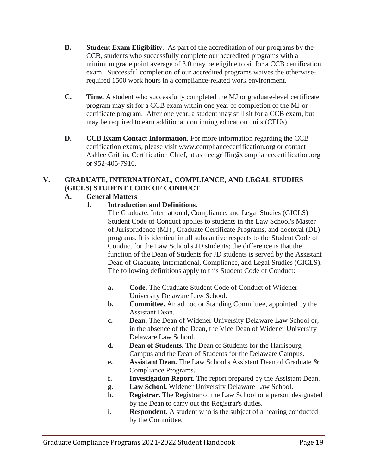- **B. Student Exam Eligibility**. As part of the accreditation of our programs by the CCB, students who successfully complete our accredited programs with a minimum grade point average of 3.0 may be eligible to sit for a CCB certification exam. Successful completion of our accredited programs waives the otherwiserequired 1500 work hours in a compliance-related work environment.
- **C. Time.** A student who successfully completed the MJ or graduate-level certificate program may sit for a CCB exam within one year of completion of the MJ or certificate program. After one year, a student may still sit for a CCB exam, but may be required to earn additional continuing education units (CEUs).
- **D. CCB Exam Contact Information**. For more information regarding the CCB certification exams, please visit www.compliancecertification.org or contact Ashlee Griffin, Certification Chief, at ashlee.griffin@compliancecertification.org or 952-405-7910.

## **V. GRADUATE, INTERNATIONAL, COMPLIANCE, AND LEGAL STUDIES (GICLS) STUDENT CODE OF CONDUCT**

#### **A. General Matters**

**1. Introduction and Definitions.**

The Graduate, International, Compliance, and Legal Studies (GICLS) Student Code of Conduct applies to students in the Law School's Master of Jurisprudence (MJ) , Graduate Certificate Programs, and doctoral (DL) programs. It is identical in all substantive respects to the Student Code of Conduct for the Law School's JD students; the difference is that the function of the Dean of Students for JD students is served by the Assistant Dean of Graduate, International, Compliance, and Legal Studies (GICLS). The following definitions apply to this Student Code of Conduct:

- **a. Code.** The Graduate Student Code of Conduct of Widener University Delaware Law School.
- **b. Committee.** An ad hoc or Standing Committee, appointed by the Assistant Dean.
- **c. Dean**. The Dean of Widener University Delaware Law School or, in the absence of the Dean, the Vice Dean of Widener University Delaware Law School.
- **d. Dean of Students.** The Dean of Students for the Harrisburg Campus and the Dean of Students for the Delaware Campus.
- **e. Assistant Dean.** The Law School's Assistant Dean of Graduate & Compliance Programs.
- **f. Investigation Report**. The report prepared by the Assistant Dean.
- **g. Law School.** Widener University Delaware Law School.
- **h. Registrar.** The Registrar of the Law School or a person designated by the Dean to carry out the Registrar's duties.
- **i.** Respondent. A student who is the subject of a hearing conducted by the Committee.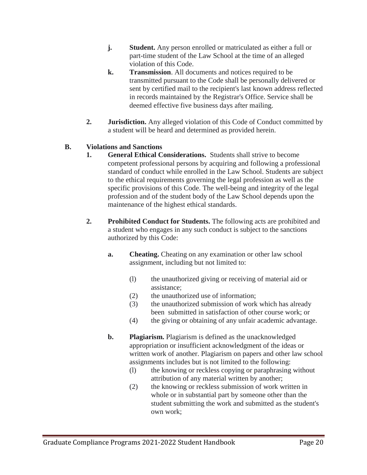- **j.** Student. Any person enrolled or matriculated as either a full or part-time student of the Law School at the time of an alleged violation of this Code.
- **k. Transmission**. All documents and notices required to be transmitted pursuant to the Code shall be personally delivered or sent by certified mail to the recipient's last known address reflected in records maintained by the Registrar's Office. Service shall be deemed effective five business days after mailing.
- **2. Jurisdiction.** Any alleged violation of this Code of Conduct committed by a student will be heard and determined as provided herein.

#### **B. Violations and Sanctions**

- **1. General Ethical Considerations.** Students shall strive to become competent professional persons by acquiring and following a professional standard of conduct while enrolled in the Law School. Students are subject to the ethical requirements governing the legal profession as well as the specific provisions of this Code. The well-being and integrity of the legal profession and of the student body of the Law School depends upon the maintenance of the highest ethical standards.
- **2. Prohibited Conduct for Students.** The following acts are prohibited and a student who engages in any such conduct is subject to the sanctions authorized by this Code:
	- **a. Cheating.** Cheating on any examination or other law school assignment, including but not limited to:
		- (l) the unauthorized giving or receiving of material aid or assistance;
		- (2) the unauthorized use of information;
		- (3) the unauthorized submission of work which has already been submitted in satisfaction of other course work; or
		- (4) the giving or obtaining of any unfair academic advantage.
	- **b. Plagiarism.** Plagiarism is defined as the unacknowledged appropriation or insufficient acknowledgment of the ideas or written work of another. Plagiarism on papers and other law school assignments includes but is not limited to the following:
		- (l) the knowing or reckless copying or paraphrasing without attribution of any material written by another;
		- (2) the knowing or reckless submission of work written in whole or in substantial part by someone other than the student submitting the work and submitted as the student's own work;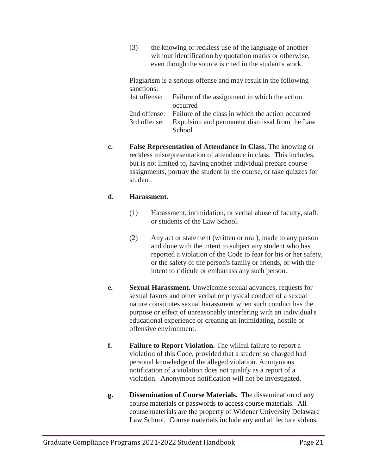(3) the knowing or reckless use of the language of another without identification by quotation marks or otherwise, even though the source is cited in the student's work.

Plagiarism is a serious offense and may result in the following sanctions:

| 1st offense: Failure of the assignment in which the action     |  |  |
|----------------------------------------------------------------|--|--|
| occurred                                                       |  |  |
| 2nd offense: Failure of the class in which the action occurred |  |  |
| 3rd offense: Expulsion and permanent dismissal from the Law    |  |  |
| School                                                         |  |  |

**c. False Representation of Attendance in Class.** The knowing or reckless misrepresentation of attendance in class. This includes, but is not limited to, having another individual prepare course assignments, portray the student in the course, or take quizzes for student.

#### **d. Harassment.**

- (1) Harassment, intimidation, or verbal abuse of faculty, staff, or students of the Law School.
- (2) Any act or statement (written or oral), made to any person and done with the intent to subject any student who has reported a violation of the Code to fear for his or her safety, or the safety of the person's family or friends, or with the intent to ridicule or embarrass any such person.
- **e. Sexual Harassment.** Unwelcome sexual advances, requests for sexual favors and other verbal or physical conduct of a sexual nature constitutes sexual harassment when such conduct has the purpose or effect of unreasonably interfering with an individual's educational experience or creating an intimidating, hostile or offensive environment.
- **f. Failure to Report Violation.** The willful failure to report a violation of this Code, provided that a student so charged had personal knowledge of the alleged violation. Anonymous notification of a violation does not qualify as a report of a violation. Anonymous notification will not be investigated.
- **g. Dissemination of Course Materials.** The dissemination of any course materials or passwords to access course materials. All course materials are the property of Widener University Delaware Law School. Course materials include any and all lecture videos,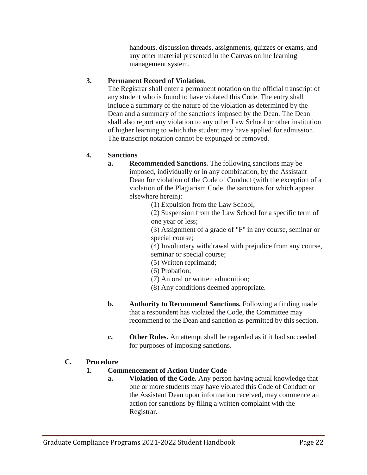handouts, discussion threads, assignments, quizzes or exams, and any other material presented in the Canvas online learning management system.

#### **3. Permanent Record of Violation.**

The Registrar shall enter a permanent notation on the official transcript of any student who is found to have violated this Code. The entry shall include a summary of the nature of the violation as determined by the Dean and a summary of the sanctions imposed by the Dean. The Dean shall also report any violation to any other Law School or other institution of higher learning to which the student may have applied for admission. The transcript notation cannot be expunged or removed.

#### **4. Sanctions**

**a. Recommended Sanctions.** The following sanctions may be imposed, individually or in any combination, by the Assistant Dean for violation of the Code of Conduct (with the exception of a violation of the Plagiarism Code, the sanctions for which appear elsewhere herein):

(1) Expulsion from the Law School;

(2) Suspension from the Law School for a specific term of one year or less;

(3) Assignment of a grade of "F" in any course, seminar or special course;

(4) Involuntary withdrawal with prejudice from any course, seminar or special course;

- (5) Written reprimand;
- (6) Probation;
- (7) An oral or written admonition;
- (8) Any conditions deemed appropriate.
- **b. Authority to Recommend Sanctions.** Following a finding made that a respondent has violated the Code, the Committee may recommend to the Dean and sanction as permitted by this section.
- **c. Other Rules.** An attempt shall be regarded as if it had succeeded for purposes of imposing sanctions.

#### **C. Procedure**

#### **1. Commencement of Action Under Code**

**a. Violation of the Code.** Any person having actual knowledge that one or more students may have violated this Code of Conduct or the Assistant Dean upon information received, may commence an action for sanctions by filing a written complaint with the Registrar.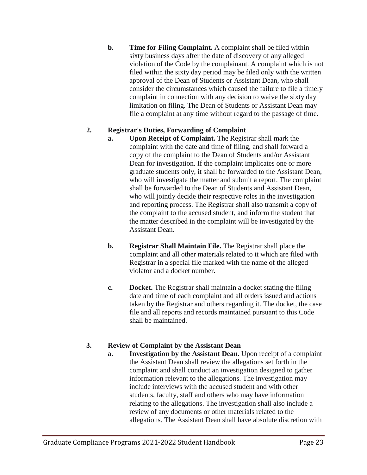**b. Time for Filing Complaint.** A complaint shall be filed within sixty business days after the date of discovery of any alleged violation of the Code by the complainant. A complaint which is not filed within the sixty day period may be filed only with the written approval of the Dean of Students or Assistant Dean, who shall consider the circumstances which caused the failure to file a timely complaint in connection with any decision to waive the sixty day limitation on filing. The Dean of Students or Assistant Dean may file a complaint at any time without regard to the passage of time.

#### **2. Registrar's Duties, Forwarding of Complaint**

- **a. Upon Receipt of Complaint.** The Registrar shall mark the complaint with the date and time of filing, and shall forward a copy of the complaint to the Dean of Students and/or Assistant Dean for investigation. If the complaint implicates one or more graduate students only, it shall be forwarded to the Assistant Dean, who will investigate the matter and submit a report. The complaint shall be forwarded to the Dean of Students and Assistant Dean, who will jointly decide their respective roles in the investigation and reporting process. The Registrar shall also transmit a copy of the complaint to the accused student, and inform the student that the matter described in the complaint will be investigated by the Assistant Dean.
- **b. Registrar Shall Maintain File.** The Registrar shall place the complaint and all other materials related to it which are filed with Registrar in a special file marked with the name of the alleged violator and a docket number.
- **c. Docket.** The Registrar shall maintain a docket stating the filing date and time of each complaint and all orders issued and actions taken by the Registrar and others regarding it. The docket, the case file and all reports and records maintained pursuant to this Code shall be maintained.

#### **3. Review of Complaint by the Assistant Dean**

**a. Investigation by the Assistant Dean**. Upon receipt of a complaint the Assistant Dean shall review the allegations set forth in the complaint and shall conduct an investigation designed to gather information relevant to the allegations. The investigation may include interviews with the accused student and with other students, faculty, staff and others who may have information relating to the allegations. The investigation shall also include a review of any documents or other materials related to the allegations. The Assistant Dean shall have absolute discretion with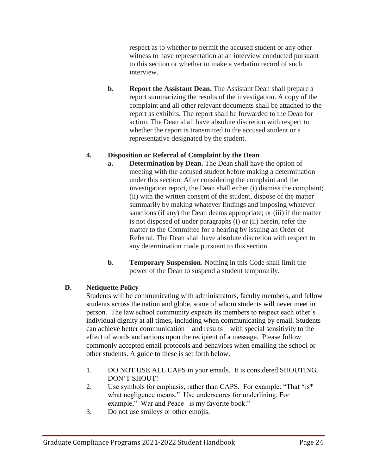respect as to whether to permit the accused student or any other witness to have representation at an interview conducted pursuant to this section or whether to make a verbatim record of such interview.

**b. Report the Assistant Dean.** The Assistant Dean shall prepare a report summarizing the results of the investigation. A copy of the complaint and all other relevant documents shall be attached to the report as exhibits. The report shall be forwarded to the Dean for action. The Dean shall have absolute discretion with respect to whether the report is transmitted to the accused student or a representative designated by the student.

#### **4. Disposition or Referral of Complaint by the Dean**

- **a. Determination by Dean.** The Dean shall have the option of meeting with the accused student before making a determination under this section. After considering the complaint and the investigation report, the Dean shall either (i) dismiss the complaint; (ii) with the written consent of the student, dispose of the matter summarily by making whatever findings and imposing whatever sanctions (if any) the Dean deems appropriate; or (iii) if the matter is not disposed of under paragraphs (i) or (ii) herein, refer the matter to the Committee for a hearing by issuing an Order of Referral. The Dean shall have absolute discretion with respect to any determination made pursuant to this section.
- **b. Temporary Suspension**. Nothing in this Code shall limit the power of the Dean to suspend a student temporarily.

#### **D. Netiquette Policy**

Students will be communicating with administrators, faculty members, and fellow students across the nation and globe, some of whom students will never meet in person. The law school community expects its members to respect each other's individual dignity at all times, including when communicating by email. Students can achieve better communication – and results – with special sensitivity to the effect of words and actions upon the recipient of a message. Please follow commonly accepted email protocols and behaviors when emailing the school or other students. A guide to these is set forth below.

- 1. DO NOT USE ALL CAPS in your emails. It is considered SHOUTING. DON'T SHOUT!
- 2. Use symbols for emphasis, rather than CAPS. For example: "That \*is\* what negligence means." Use underscores for underlining. For example," War and Peace is my favorite book."
- 3. Do not use smileys or other emojis.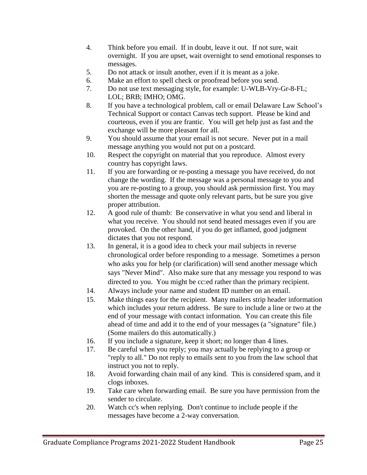- 4. Think before you email. If in doubt, leave it out. If not sure, wait overnight. If you are upset, wait overnight to send emotional responses to messages.
- 5. Do not attack or insult another, even if it is meant as a joke.
- 6. Make an effort to spell check or proofread before you send.
- 7. Do not use text messaging style, for example: U-WLB-Vry-Gr-8-FL; LOL; BRB; IMHO; OMG.
- 8. If you have a technological problem, call or email Delaware Law School's Technical Support or contact Canvas tech support. Please be kind and courteous, even if you are frantic. You will get help just as fast and the exchange will be more pleasant for all.
- 9. You should assume that your email is not secure. Never put in a mail message anything you would not put on a postcard.
- 10. Respect the copyright on material that you reproduce. Almost every country has copyright laws.
- 11. If you are forwarding or re-posting a message you have received, do not change the wording. If the message was a personal message to you and you are re-posting to a group, you should ask permission first. You may shorten the message and quote only relevant parts, but be sure you give proper attribution.
- 12. A good rule of thumb: Be conservative in what you send and liberal in what you receive. You should not send heated messages even if you are provoked. On the other hand, if you do get inflamed, good judgment dictates that you not respond.
- 13. In general, it is a good idea to check your mail subjects in reverse chronological order before responding to a message. Sometimes a person who asks you for help (or clarification) will send another message which says "Never Mind". Also make sure that any message you respond to was directed to you. You might be cc:ed rather than the primary recipient.
- 14. Always include your name and student ID number on an email.
- 15. Make things easy for the recipient. Many mailers strip header information which includes your return address. Be sure to include a line or two at the end of your message with contact information. You can create this file ahead of time and add it to the end of your messages (a "signature" file.) (Some mailers do this automatically.)
- 16. If you include a signature, keep it short; no longer than 4 lines.
- 17. Be careful when you reply; you may actually be replying to a group or "reply to all." Do not reply to emails sent to you from the law school that instruct you not to reply.
- 18. Avoid forwarding chain mail of any kind. This is considered spam, and it clogs inboxes.
- 19. Take care when forwarding email. Be sure you have permission from the sender to circulate.
- 20. Watch cc's when replying. Don't continue to include people if the messages have become a 2-way conversation.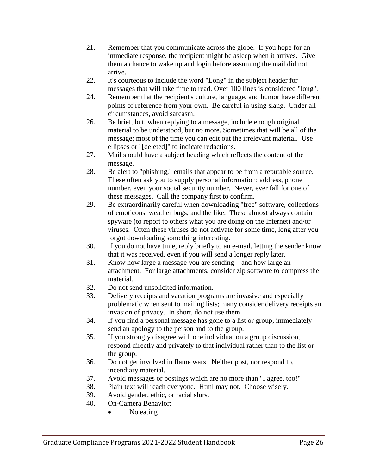- 21. Remember that you communicate across the globe. If you hope for an immediate response, the recipient might be asleep when it arrives. Give them a chance to wake up and login before assuming the mail did not arrive.
- 22. It's courteous to include the word "Long" in the subject header for messages that will take time to read. Over 100 lines is considered "long".
- 24. Remember that the recipient's culture, language, and humor have different points of reference from your own. Be careful in using slang. Under all circumstances, avoid sarcasm.
- 26. Be brief, but, when replying to a message, include enough original material to be understood, but no more. Sometimes that will be all of the message; most of the time you can edit out the irrelevant material. Use ellipses or "[deleted]" to indicate redactions.
- 27. Mail should have a subject heading which reflects the content of the message.
- 28. Be alert to "phishing," emails that appear to be from a reputable source. These often ask you to supply personal information: address, phone number, even your social security number. Never, ever fall for one of these messages. Call the company first to confirm.
- 29. Be extraordinarily careful when downloading "free" software, collections of emoticons, weather bugs, and the like. These almost always contain spyware (to report to others what you are doing on the Internet) and/or viruses. Often these viruses do not activate for some time, long after you forgot downloading something interesting.
- 30. If you do not have time, reply briefly to an e-mail, letting the sender know that it was received, even if you will send a longer reply later.
- 31. Know how large a message you are sending and how large an attachment. For large attachments, consider zip software to compress the material.
- 32. Do not send unsolicited information.
- 33. Delivery receipts and vacation programs are invasive and especially problematic when sent to mailing lists; many consider delivery receipts an invasion of privacy. In short, do not use them.
- 34. If you find a personal message has gone to a list or group, immediately send an apology to the person and to the group.
- 35. If you strongly disagree with one individual on a group discussion, respond directly and privately to that individual rather than to the list or the group.
- 36. Do not get involved in flame wars. Neither post, nor respond to, incendiary material.
- 37. Avoid messages or postings which are no more than "I agree, too!"
- 38. Plain text will reach everyone. Html may not. Choose wisely.
- 39. Avoid gender, ethic, or racial slurs.
- 40. On-Camera Behavior:
	- No eating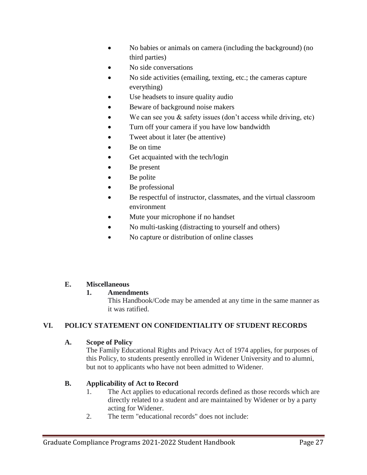- No babies or animals on camera (including the background) (no third parties)
- No side conversations
- No side activities (emailing, texting, etc.; the cameras capture everything)
- Use headsets to insure quality audio
- Beware of background noise makers
- We can see you & safety issues (don't access while driving, etc)
- Turn off your camera if you have low bandwidth
- Tweet about it later (be attentive)
- Be on time
- Get acquainted with the tech/login
- Be present
- Be polite
- Be professional
- Be respectful of instructor, classmates, and the virtual classroom environment
- Mute your microphone if no handset
- No multi-tasking (distracting to yourself and others)
- No capture or distribution of online classes

#### **E. Miscellaneous**

#### **1. Amendments**

This Handbook/Code may be amended at any time in the same manner as it was ratified.

#### **VI. POLICY STATEMENT ON CONFIDENTIALITY OF STUDENT RECORDS**

#### **A. Scope of Policy**

The Family Educational Rights and Privacy Act of 1974 applies, for purposes of this Policy, to students presently enrolled in Widener University and to alumni, but not to applicants who have not been admitted to Widener.

#### **B. Applicability of Act to Record**

- 1. The Act applies to educational records defined as those records which are directly related to a student and are maintained by Widener or by a party acting for Widener.
- 2. The term "educational records" does not include: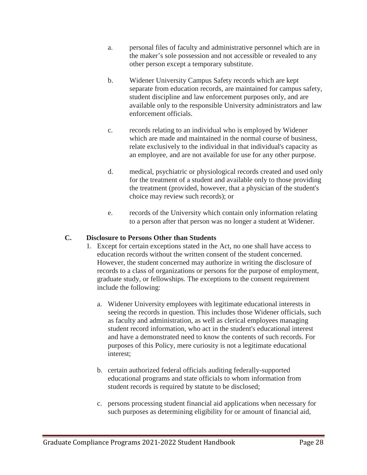- a. personal files of faculty and administrative personnel which are in the maker's sole possession and not accessible or revealed to any other person except a temporary substitute.
- b. Widener University Campus Safety records which are kept separate from education records, are maintained for campus safety, student discipline and law enforcement purposes only, and are available only to the responsible University administrators and law enforcement officials.
- c. records relating to an individual who is employed by Widener which are made and maintained in the normal course of business, relate exclusively to the individual in that individual's capacity as an employee, and are not available for use for any other purpose.
- d. medical, psychiatric or physiological records created and used only for the treatment of a student and available only to those providing the treatment (provided, however, that a physician of the student's choice may review such records); or
- e. records of the University which contain only information relating to a person after that person was no longer a student at Widener.

#### **C. Disclosure to Persons Other than Students**

- 1. Except for certain exceptions stated in the Act, no one shall have access to education records without the written consent of the student concerned. However, the student concerned may authorize in writing the disclosure of records to a class of organizations or persons for the purpose of employment, graduate study, or fellowships. The exceptions to the consent requirement include the following:
	- a. Widener University employees with legitimate educational interests in seeing the records in question. This includes those Widener officials, such as faculty and administration, as well as clerical employees managing student record information, who act in the student's educational interest and have a demonstrated need to know the contents of such records. For purposes of this Policy, mere curiosity is not a legitimate educational interest;
	- b. certain authorized federal officials auditing federally-supported educational programs and state officials to whom information from student records is required by statute to be disclosed;
	- c. persons processing student financial aid applications when necessary for such purposes as determining eligibility for or amount of financial aid,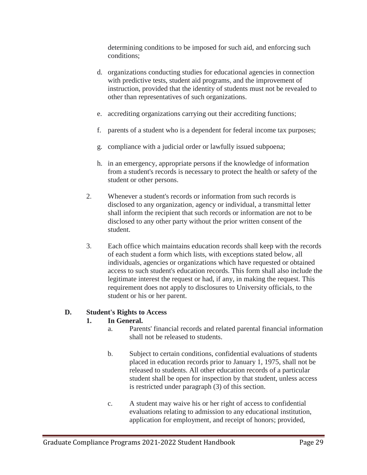determining conditions to be imposed for such aid, and enforcing such conditions;

- d. organizations conducting studies for educational agencies in connection with predictive tests, student aid programs, and the improvement of instruction, provided that the identity of students must not be revealed to other than representatives of such organizations.
- e. accrediting organizations carrying out their accrediting functions;
- f. parents of a student who is a dependent for federal income tax purposes;
- g. compliance with a judicial order or lawfully issued subpoena;
- h. in an emergency, appropriate persons if the knowledge of information from a student's records is necessary to protect the health or safety of the student or other persons.
- 2. Whenever a student's records or information from such records is disclosed to any organization, agency or individual, a transmittal letter shall inform the recipient that such records or information are not to be disclosed to any other party without the prior written consent of the student.
- 3. Each office which maintains education records shall keep with the records of each student a form which lists, with exceptions stated below, all individuals, agencies or organizations which have requested or obtained access to such student's education records. This form shall also include the legitimate interest the request or had, if any, in making the request. This requirement does not apply to disclosures to University officials, to the student or his or her parent.

#### **D. Student's Rights to Access**

#### **1. In General.**

- a. Parents' financial records and related parental financial information shall not be released to students.
- b. Subject to certain conditions, confidential evaluations of students placed in education records prior to January 1, 1975, shall not be released to students. All other education records of a particular student shall be open for inspection by that student, unless access is restricted under paragraph (3) of this section.
- c. A student may waive his or her right of access to confidential evaluations relating to admission to any educational institution, application for employment, and receipt of honors; provided,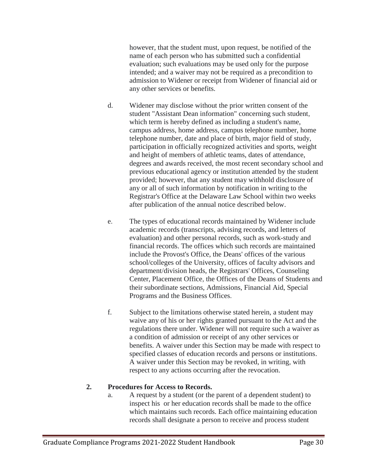however, that the student must, upon request, be notified of the name of each person who has submitted such a confidential evaluation; such evaluations may be used only for the purpose intended; and a waiver may not be required as a precondition to admission to Widener or receipt from Widener of financial aid or any other services or benefits.

- d. Widener may disclose without the prior written consent of the student "Assistant Dean information" concerning such student, which term is hereby defined as including a student's name, campus address, home address, campus telephone number, home telephone number, date and place of birth, major field of study, participation in officially recognized activities and sports, weight and height of members of athletic teams, dates of attendance, degrees and awards received, the most recent secondary school and previous educational agency or institution attended by the student provided; however, that any student may withhold disclosure of any or all of such information by notification in writing to the Registrar's Office at the Delaware Law School within two weeks after publication of the annual notice described below.
- e. The types of educational records maintained by Widener include academic records (transcripts, advising records, and letters of evaluation) and other personal records, such as work-study and financial records. The offices which such records are maintained include the Provost's Office, the Deans' offices of the various school/colleges of the University, offices of faculty advisors and department/division heads, the Registrars' Offices, Counseling Center, Placement Office, the Offices of the Deans of Students and their subordinate sections, Admissions, Financial Aid, Special Programs and the Business Offices.
- f. Subject to the limitations otherwise stated herein, a student may waive any of his or her rights granted pursuant to the Act and the regulations there under. Widener will not require such a waiver as a condition of admission or receipt of any other services or benefits. A waiver under this Section may be made with respect to specified classes of education records and persons or institutions. A waiver under this Section may be revoked, in writing, with respect to any actions occurring after the revocation.

#### **2. Procedures for Access to Records.**

a. A request by a student (or the parent of a dependent student) to inspect his or her education records shall be made to the office which maintains such records. Each office maintaining education records shall designate a person to receive and process student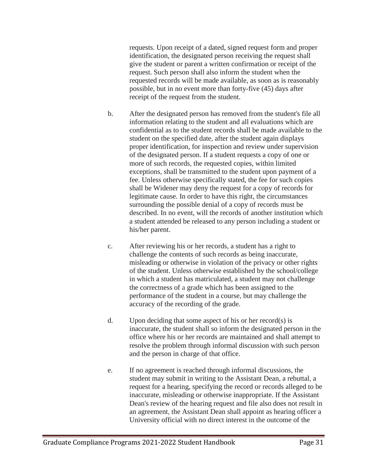requests. Upon receipt of a dated, signed request form and proper identification, the designated person receiving the request shall give the student or parent a written confirmation or receipt of the request. Such person shall also inform the student when the requested records will be made available, as soon as is reasonably possible, but in no event more than forty-five (45) days after receipt of the request from the student.

- b. After the designated person has removed from the student's file all information relating to the student and all evaluations which are confidential as to the student records shall be made available to the student on the specified date, after the student again displays proper identification, for inspection and review under supervision of the designated person. If a student requests a copy of one or more of such records, the requested copies, within limited exceptions, shall be transmitted to the student upon payment of a fee. Unless otherwise specifically stated, the fee for such copies shall be Widener may deny the request for a copy of records for legitimate cause. In order to have this right, the circumstances surrounding the possible denial of a copy of records must be described. In no event, will the records of another institution which a student attended be released to any person including a student or his/her parent.
- c. After reviewing his or her records, a student has a right to challenge the contents of such records as being inaccurate, misleading or otherwise in violation of the privacy or other rights of the student. Unless otherwise established by the school/college in which a student has matriculated, a student may not challenge the correctness of a grade which has been assigned to the performance of the student in a course, but may challenge the accuracy of the recording of the grade.
- d. Upon deciding that some aspect of his or her record(s) is inaccurate, the student shall so inform the designated person in the office where his or her records are maintained and shall attempt to resolve the problem through informal discussion with such person and the person in charge of that office.
- e. If no agreement is reached through informal discussions, the student may submit in writing to the Assistant Dean, a rebuttal, a request for a hearing, specifying the record or records alleged to be inaccurate, misleading or otherwise inappropriate. If the Assistant Dean's review of the hearing request and file also does not result in an agreement, the Assistant Dean shall appoint as hearing officer a University official with no direct interest in the outcome of the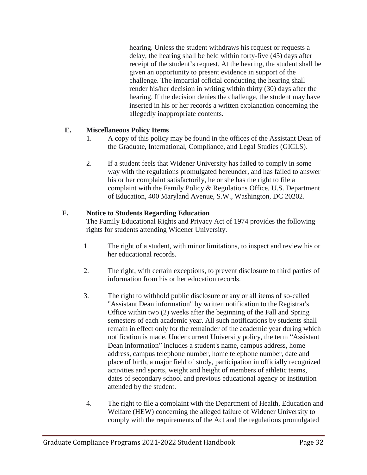hearing. Unless the student withdraws his request or requests a delay, the hearing shall be held within forty-five (45) days after receipt of the student's request. At the hearing, the student shall be given an opportunity to present evidence in support of the challenge. The impartial official conducting the hearing shall render his/her decision in writing within thirty (30) days after the hearing. If the decision denies the challenge, the student may have inserted in his or her records a written explanation concerning the allegedly inappropriate contents.

#### **E. Miscellaneous Policy Items**

- 1. A copy of this policy may be found in the offices of the Assistant Dean of the Graduate, International, Compliance, and Legal Studies (GICLS).
- 2. If a student feels that Widener University has failed to comply in some way with the regulations promulgated hereunder, and has failed to answer his or her complaint satisfactorily, he or she has the right to file a complaint with the Family Policy & Regulations Office, U.S. Department of Education, 400 Maryland Avenue, S.W., Washington, DC 20202.

#### **F. Notice to Students Regarding Education**

The Family Educational Rights and Privacy Act of 1974 provides the following rights for students attending Widener University.

- 1. The right of a student, with minor limitations, to inspect and review his or her educational records.
- 2. The right, with certain exceptions, to prevent disclosure to third parties of information from his or her education records.
- 3. The right to withhold public disclosure or any or all items of so-called "Assistant Dean information" by written notification to the Registrar's Office within two (2) weeks after the beginning of the Fall and Spring semesters of each academic year. All such notifications by students shall remain in effect only for the remainder of the academic year during which notification is made. Under current University policy, the term "Assistant Dean information" includes a student's name, campus address, home address, campus telephone number, home telephone number, date and place of birth, a major field of study, participation in officially recognized activities and sports, weight and height of members of athletic teams, dates of secondary school and previous educational agency or institution attended by the student.
- 4. The right to file a complaint with the Department of Health, Education and Welfare (HEW) concerning the alleged failure of Widener University to comply with the requirements of the Act and the regulations promulgated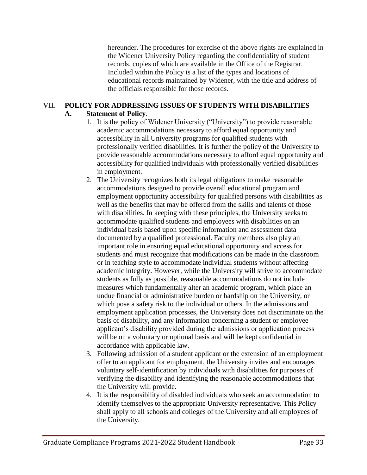hereunder. The procedures for exercise of the above rights are explained in the Widener University Policy regarding the confidentiality of student records, copies of which are available in the Office of the Registrar. Included within the Policy is a list of the types and locations of educational records maintained by Widener, with the title and address of the officials responsible for those records.

#### **VII. POLICY FOR ADDRESSING ISSUES OF STUDENTS WITH DISABILITIES A. Statement of Policy**.

- 1. It is the policy of Widener University ("University") to provide reasonable academic accommodations necessary to afford equal opportunity and accessibility in all University programs for qualified students with professionally verified disabilities. It is further the policy of the University to provide reasonable accommodations necessary to afford equal opportunity and accessibility for qualified individuals with professionally verified disabilities in employment.
- 2. The University recognizes both its legal obligations to make reasonable accommodations designed to provide overall educational program and employment opportunity accessibility for qualified persons with disabilities as well as the benefits that may be offered from the skills and talents of those with disabilities. In keeping with these principles, the University seeks to accommodate qualified students and employees with disabilities on an individual basis based upon specific information and assessment data documented by a qualified professional. Faculty members also play an important role in ensuring equal educational opportunity and access for students and must recognize that modifications can be made in the classroom or in teaching style to accommodate individual students without affecting academic integrity. However, while the University will strive to accommodate students as fully as possible, reasonable accommodations do not include measures which fundamentally alter an academic program, which place an undue financial or administrative burden or hardship on the University, or which pose a safety risk to the individual or others. In the admissions and employment application processes, the University does not discriminate on the basis of disability, and any information concerning a student or employee applicant's disability provided during the admissions or application process will be on a voluntary or optional basis and will be kept confidential in accordance with applicable law.
- 3. Following admission of a student applicant or the extension of an employment offer to an applicant for employment, the University invites and encourages voluntary self-identification by individuals with disabilities for purposes of verifying the disability and identifying the reasonable accommodations that the University will provide.
- 4. It is the responsibility of disabled individuals who seek an accommodation to identify themselves to the appropriate University representative. This Policy shall apply to all schools and colleges of the University and all employees of the University.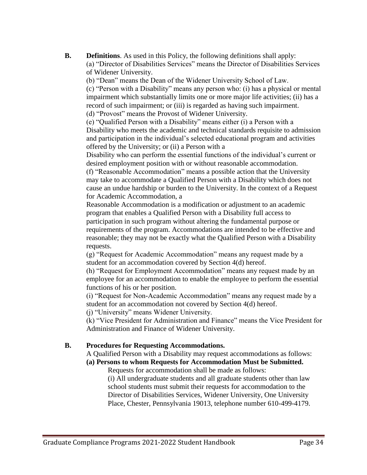**B. Definitions**. As used in this Policy, the following definitions shall apply: (a) "Director of Disabilities Services" means the Director of Disabilities Services of Widener University.

(b) "Dean" means the Dean of the Widener University School of Law.

(c) "Person with a Disability" means any person who: (i) has a physical or mental impairment which substantially limits one or more major life activities; (ii) has a record of such impairment; or (iii) is regarded as having such impairment.

(d) "Provost" means the Provost of Widener University.

(e) "Qualified Person with a Disability" means either (i) a Person with a Disability who meets the academic and technical standards requisite to admission and participation in the individual's selected educational program and activities offered by the University; or (ii) a Person with a

Disability who can perform the essential functions of the individual's current or desired employment position with or without reasonable accommodation.

(f) "Reasonable Accommodation" means a possible action that the University may take to accommodate a Qualified Person with a Disability which does not cause an undue hardship or burden to the University. In the context of a Request for Academic Accommodation, a

Reasonable Accommodation is a modification or adjustment to an academic program that enables a Qualified Person with a Disability full access to participation in such program without altering the fundamental purpose or requirements of the program. Accommodations are intended to be effective and reasonable; they may not be exactly what the Qualified Person with a Disability requests.

(g) "Request for Academic Accommodation" means any request made by a student for an accommodation covered by Section 4(d) hereof.

(h) "Request for Employment Accommodation" means any request made by an employee for an accommodation to enable the employee to perform the essential functions of his or her position.

(i) "Request for Non-Academic Accommodation" means any request made by a student for an accommodation not covered by Section 4(d) hereof.

(j) "University" means Widener University.

(k) "Vice President for Administration and Finance" means the Vice President for Administration and Finance of Widener University.

#### **B. Procedures for Requesting Accommodations.**

A Qualified Person with a Disability may request accommodations as follows:

**(a) Persons to whom Requests for Accommodation Must be Submitted.**

Requests for accommodation shall be made as follows:

(i) All undergraduate students and all graduate students other than law school students must submit their requests for accommodation to the Director of Disabilities Services, Widener University, One University Place, Chester, Pennsylvania 19013, telephone number 610-499-4179.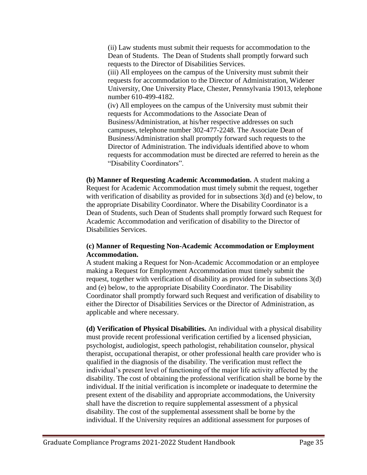(ii) Law students must submit their requests for accommodation to the Dean of Students. The Dean of Students shall promptly forward such requests to the Director of Disabilities Services.

(iii) All employees on the campus of the University must submit their requests for accommodation to the Director of Administration, Widener University, One University Place, Chester, Pennsylvania 19013, telephone number 610-499-4182.

(iv) All employees on the campus of the University must submit their requests for Accommodations to the Associate Dean of Business/Administration, at his/her respective addresses on such campuses, telephone number 302-477-2248. The Associate Dean of Business/Administration shall promptly forward such requests to the Director of Administration. The individuals identified above to whom requests for accommodation must be directed are referred to herein as the "Disability Coordinators".

**(b) Manner of Requesting Academic Accommodation.** A student making a Request for Academic Accommodation must timely submit the request, together with verification of disability as provided for in subsections 3(d) and (e) below, to the appropriate Disability Coordinator. Where the Disability Coordinator is a Dean of Students, such Dean of Students shall promptly forward such Request for Academic Accommodation and verification of disability to the Director of Disabilities Services.

#### **(c) Manner of Requesting Non-Academic Accommodation or Employment Accommodation.**

A student making a Request for Non-Academic Accommodation or an employee making a Request for Employment Accommodation must timely submit the request, together with verification of disability as provided for in subsections 3(d) and (e) below, to the appropriate Disability Coordinator. The Disability Coordinator shall promptly forward such Request and verification of disability to either the Director of Disabilities Services or the Director of Administration, as applicable and where necessary.

**(d) Verification of Physical Disabilities.** An individual with a physical disability must provide recent professional verification certified by a licensed physician, psychologist, audiologist, speech pathologist, rehabilitation counselor, physical therapist, occupational therapist, or other professional health care provider who is qualified in the diagnosis of the disability. The verification must reflect the individual's present level of functioning of the major life activity affected by the disability. The cost of obtaining the professional verification shall be borne by the individual. If the initial verification is incomplete or inadequate to determine the present extent of the disability and appropriate accommodations, the University shall have the discretion to require supplemental assessment of a physical disability. The cost of the supplemental assessment shall be borne by the individual. If the University requires an additional assessment for purposes of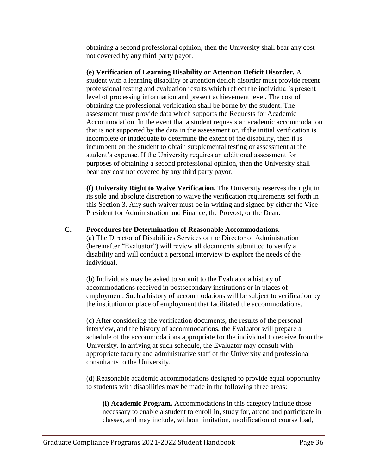obtaining a second professional opinion, then the University shall bear any cost not covered by any third party payor.

**(e) Verification of Learning Disability or Attention Deficit Disorder.** A student with a learning disability or attention deficit disorder must provide recent professional testing and evaluation results which reflect the individual's present level of processing information and present achievement level. The cost of obtaining the professional verification shall be borne by the student. The assessment must provide data which supports the Requests for Academic Accommodation. In the event that a student requests an academic accommodation that is not supported by the data in the assessment or, if the initial verification is incomplete or inadequate to determine the extent of the disability, then it is incumbent on the student to obtain supplemental testing or assessment at the student's expense. If the University requires an additional assessment for purposes of obtaining a second professional opinion, then the University shall bear any cost not covered by any third party payor.

**(f) University Right to Waive Verification.** The University reserves the right in its sole and absolute discretion to waive the verification requirements set forth in this Section 3. Any such waiver must be in writing and signed by either the Vice President for Administration and Finance, the Provost, or the Dean.

#### **C. Procedures for Determination of Reasonable Accommodations.**

(a) The Director of Disabilities Services or the Director of Administration (hereinafter "Evaluator") will review all documents submitted to verify a disability and will conduct a personal interview to explore the needs of the individual.

(b) Individuals may be asked to submit to the Evaluator a history of accommodations received in postsecondary institutions or in places of employment. Such a history of accommodations will be subject to verification by the institution or place of employment that facilitated the accommodations.

(c) After considering the verification documents, the results of the personal interview, and the history of accommodations, the Evaluator will prepare a schedule of the accommodations appropriate for the individual to receive from the University. In arriving at such schedule, the Evaluator may consult with appropriate faculty and administrative staff of the University and professional consultants to the University.

(d) Reasonable academic accommodations designed to provide equal opportunity to students with disabilities may be made in the following three areas:

**(i) Academic Program.** Accommodations in this category include those necessary to enable a student to enroll in, study for, attend and participate in classes, and may include, without limitation, modification of course load,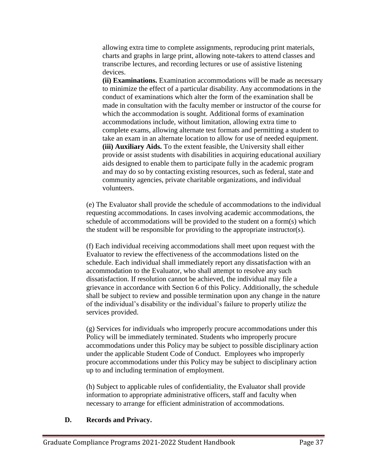allowing extra time to complete assignments, reproducing print materials, charts and graphs in large print, allowing note-takers to attend classes and transcribe lectures, and recording lectures or use of assistive listening devices.

**(ii) Examinations.** Examination accommodations will be made as necessary to minimize the effect of a particular disability. Any accommodations in the conduct of examinations which alter the form of the examination shall be made in consultation with the faculty member or instructor of the course for which the accommodation is sought. Additional forms of examination accommodations include, without limitation, allowing extra time to complete exams, allowing alternate test formats and permitting a student to take an exam in an alternate location to allow for use of needed equipment. **(iii) Auxiliary Aids.** To the extent feasible, the University shall either provide or assist students with disabilities in acquiring educational auxiliary aids designed to enable them to participate fully in the academic program and may do so by contacting existing resources, such as federal, state and community agencies, private charitable organizations, and individual volunteers.

(e) The Evaluator shall provide the schedule of accommodations to the individual requesting accommodations. In cases involving academic accommodations, the schedule of accommodations will be provided to the student on a form(s) which the student will be responsible for providing to the appropriate instructor(s).

(f) Each individual receiving accommodations shall meet upon request with the Evaluator to review the effectiveness of the accommodations listed on the schedule. Each individual shall immediately report any dissatisfaction with an accommodation to the Evaluator, who shall attempt to resolve any such dissatisfaction. If resolution cannot be achieved, the individual may file a grievance in accordance with Section 6 of this Policy. Additionally, the schedule shall be subject to review and possible termination upon any change in the nature of the individual's disability or the individual's failure to properly utilize the services provided.

(g) Services for individuals who improperly procure accommodations under this Policy will be immediately terminated. Students who improperly procure accommodations under this Policy may be subject to possible disciplinary action under the applicable Student Code of Conduct. Employees who improperly procure accommodations under this Policy may be subject to disciplinary action up to and including termination of employment.

(h) Subject to applicable rules of confidentiality, the Evaluator shall provide information to appropriate administrative officers, staff and faculty when necessary to arrange for efficient administration of accommodations.

#### **D. Records and Privacy.**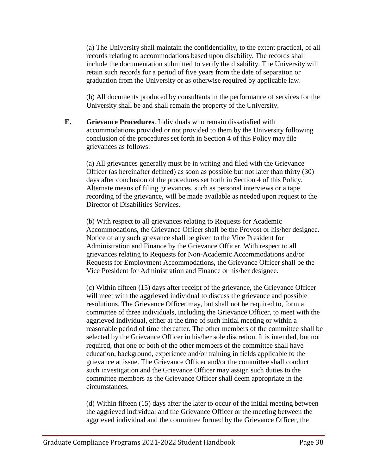(a) The University shall maintain the confidentiality, to the extent practical, of all records relating to accommodations based upon disability. The records shall include the documentation submitted to verify the disability. The University will retain such records for a period of five years from the date of separation or graduation from the University or as otherwise required by applicable law.

(b) All documents produced by consultants in the performance of services for the University shall be and shall remain the property of the University.

**E. Grievance Procedures**. Individuals who remain dissatisfied with accommodations provided or not provided to them by the University following conclusion of the procedures set forth in Section 4 of this Policy may file grievances as follows:

(a) All grievances generally must be in writing and filed with the Grievance Officer (as hereinafter defined) as soon as possible but not later than thirty (30) days after conclusion of the procedures set forth in Section 4 of this Policy. Alternate means of filing grievances, such as personal interviews or a tape recording of the grievance, will be made available as needed upon request to the Director of Disabilities Services.

(b) With respect to all grievances relating to Requests for Academic Accommodations, the Grievance Officer shall be the Provost or his/her designee. Notice of any such grievance shall be given to the Vice President for Administration and Finance by the Grievance Officer. With respect to all grievances relating to Requests for Non-Academic Accommodations and/or Requests for Employment Accommodations, the Grievance Officer shall be the Vice President for Administration and Finance or his/her designee.

(c) Within fifteen (15) days after receipt of the grievance, the Grievance Officer will meet with the aggrieved individual to discuss the grievance and possible resolutions. The Grievance Officer may, but shall not be required to, form a committee of three individuals, including the Grievance Officer, to meet with the aggrieved individual, either at the time of such initial meeting or within a reasonable period of time thereafter. The other members of the committee shall be selected by the Grievance Officer in his/her sole discretion. It is intended, but not required, that one or both of the other members of the committee shall have education, background, experience and/or training in fields applicable to the grievance at issue. The Grievance Officer and/or the committee shall conduct such investigation and the Grievance Officer may assign such duties to the committee members as the Grievance Officer shall deem appropriate in the circumstances.

(d) Within fifteen (15) days after the later to occur of the initial meeting between the aggrieved individual and the Grievance Officer or the meeting between the aggrieved individual and the committee formed by the Grievance Officer, the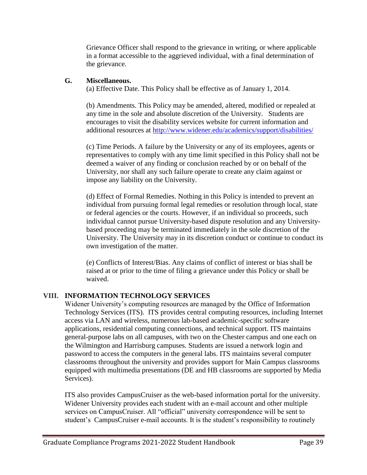Grievance Officer shall respond to the grievance in writing, or where applicable in a format accessible to the aggrieved individual, with a final determination of the grievance.

#### **G. Miscellaneous.**

(a) Effective Date. This Policy shall be effective as of January 1, 2014.

(b) Amendments. This Policy may be amended, altered, modified or repealed at any time in the sole and absolute discretion of the University. Students are encourages to visit the disability services website for current information and additional resources at<http://www.widener.edu/academics/support/disabilities/>

(c) Time Periods. A failure by the University or any of its employees, agents or representatives to comply with any time limit specified in this Policy shall not be deemed a waiver of any finding or conclusion reached by or on behalf of the University, nor shall any such failure operate to create any claim against or impose any liability on the University.

(d) Effect of Formal Remedies. Nothing in this Policy is intended to prevent an individual from pursuing formal legal remedies or resolution through local, state or federal agencies or the courts. However, if an individual so proceeds, such individual cannot pursue University-based dispute resolution and any Universitybased proceeding may be terminated immediately in the sole discretion of the University. The University may in its discretion conduct or continue to conduct its own investigation of the matter.

(e) Conflicts of Interest/Bias. Any claims of conflict of interest or bias shall be raised at or prior to the time of filing a grievance under this Policy or shall be waived.

#### **VIII. INFORMATION TECHNOLOGY SERVICES**

Widener University's computing resources are managed by the Office of Information Technology Services (ITS). ITS provides central computing resources, including Internet access via LAN and wireless, numerous lab-based academic-specific software applications, residential computing connections, and technical support. ITS maintains general-purpose labs on all campuses, with two on the Chester campus and one each on the Wilmington and Harrisburg campuses. Students are issued a network login and password to access the computers in the general labs. ITS maintains several computer classrooms throughout the university and provides support for Main Campus classrooms equipped with multimedia presentations (DE and HB classrooms are supported by Media Services).

ITS also provides CampusCruiser as the web-based information portal for the university. Widener University provides each student with an e-mail account and other multiple services on CampusCruiser. All "official" university correspondence will be sent to student's CampusCruiser e-mail accounts. It is the student's responsibility to routinely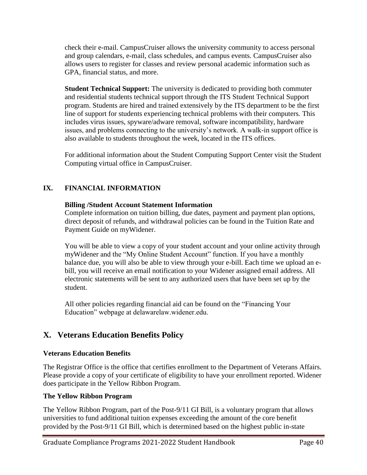check their e-mail. CampusCruiser allows the university community to access personal and group calendars, e-mail, class schedules, and campus events. CampusCruiser also allows users to register for classes and review personal academic information such as GPA, financial status, and more.

**Student Technical Support:** The university is dedicated to providing both commuter and residential students technical support through the ITS Student Technical Support program. Students are hired and trained extensively by the ITS department to be the first line of support for students experiencing technical problems with their computers. This includes virus issues, spyware/adware removal, software incompatibility, hardware issues, and problems connecting to the university's network. A walk-in support office is also available to students throughout the week, located in the ITS offices.

For additional information about the Student Computing Support Center visit the Student Computing virtual office in CampusCruiser.

### **IX. FINANCIAL INFORMATION**

#### **Billing /Student Account Statement Information**

Complete information on tuition billing, due dates, payment and payment plan options, direct deposit of refunds, and withdrawal policies can be found in the Tuition Rate and Payment Guide on myWidener.

You will be able to view a copy of your student account and your online activity through myWidener and the "My Online Student Account" function. If you have a monthly balance due, you will also be able to view through your e-bill. Each time we upload an ebill, you will receive an email notification to your Widener assigned email address. All electronic statements will be sent to any authorized users that have been set up by the student.

All other policies regarding financial aid can be found on the "Financing Your Education" webpage at delawarelaw.widener.edu.

## **X. Veterans Education Benefits Policy**

#### **Veterans Education Benefits**

The Registrar Office is the office that certifies enrollment to the Department of Veterans Affairs. Please provide a copy of your certificate of eligibility to have your enrollment reported. Widener does participate in the Yellow Ribbon Program.

#### **The Yellow Ribbon Program**

The Yellow Ribbon Program, part of the Post-9/11 GI Bill, is a voluntary program that allows universities to fund additional tuition expenses exceeding the amount of the core benefit provided by the Post-9/11 GI Bill, which is determined based on the highest public in-state